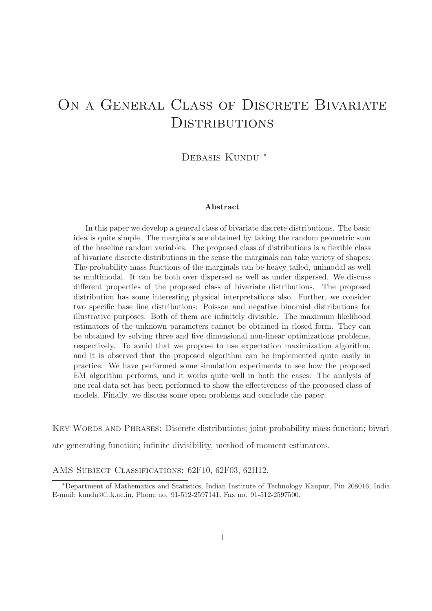# ON A GENERAL CLASS OF DISCRETE BIVARIATE **DISTRIBUTIONS**

DEBASIS KUNDU<sup>\*</sup>

#### Abstract

In this paper we develop a general class of bivariate discrete distributions. The basic idea is quite simple. The marginals are obtained by taking the random geometric sum of the baseline random variables. The proposed class of distributions is a flexible class of bivariate discrete distributions in the sense the marginals can take variety of shapes. The probability mass functions of the marginals can be heavy tailed, unimodal as well as multimodal. It can be both over dispersed as well as under dispersed. We discuss different properties of the proposed class of bivariate distributions. The proposed distribution has some interesting physical interpretations also. Further, we consider two specific base line distributions: Poisson and negative binomial distributions for illustrative purposes. Both of them are infinitely divisible. The maximum likelihood estimators of the unknown parameters cannot be obtained in closed form. They can be obtained by solving three and five dimensional non-linear optimizations problems, respectively. To avoid that we propose to use expectation maximization algorithm, and it is observed that the proposed algorithm can be implemented quite easily in practice. We have performed some simulation experiments to see how the proposed EM algorithm performs, and it works quite well in both the cases. The analysis of one real data set has been performed to show the effectiveness of the proposed class of models. Finally, we discuss some open problems and conclude the paper.

Key Words and Phrases: Discrete distributions; joint probability mass function; bivariate generating function; infinite divisibility, method of moment estimators.

AMS SUBJECT CLASSIFICATIONS: 62F10, 62F03, 62H12.

<sup>∗</sup>Department of Mathematics and Statistics, Indian Institute of Technology Kanpur, Pin 208016, India. E-mail: kundu@iitk.ac.in, Phone no. 91-512-2597141, Fax no. 91-512-2597500.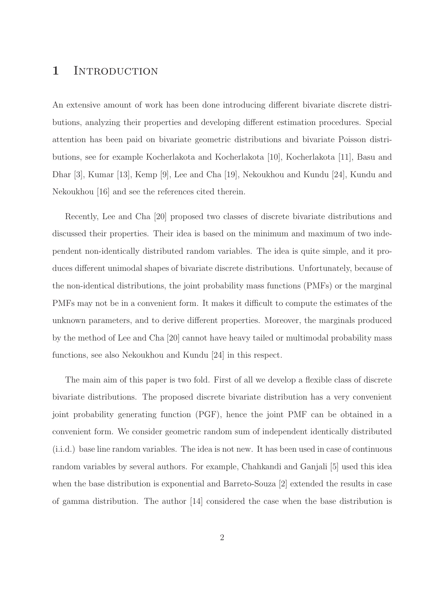### 1 INTRODUCTION

An extensive amount of work has been done introducing different bivariate discrete distributions, analyzing their properties and developing different estimation procedures. Special attention has been paid on bivariate geometric distributions and bivariate Poisson distributions, see for example Kocherlakota and Kocherlakota [10], Kocherlakota [11], Basu and Dhar [3], Kumar [13], Kemp [9], Lee and Cha [19], Nekoukhou and Kundu [24], Kundu and Nekoukhou [16] and see the references cited therein.

Recently, Lee and Cha [20] proposed two classes of discrete bivariate distributions and discussed their properties. Their idea is based on the minimum and maximum of two independent non-identically distributed random variables. The idea is quite simple, and it produces different unimodal shapes of bivariate discrete distributions. Unfortunately, because of the non-identical distributions, the joint probability mass functions (PMFs) or the marginal PMFs may not be in a convenient form. It makes it difficult to compute the estimates of the unknown parameters, and to derive different properties. Moreover, the marginals produced by the method of Lee and Cha [20] cannot have heavy tailed or multimodal probability mass functions, see also Nekoukhou and Kundu [24] in this respect.

The main aim of this paper is two fold. First of all we develop a flexible class of discrete bivariate distributions. The proposed discrete bivariate distribution has a very convenient joint probability generating function (PGF), hence the joint PMF can be obtained in a convenient form. We consider geometric random sum of independent identically distributed (i.i.d.) base line random variables. The idea is not new. It has been used in case of continuous random variables by several authors. For example, Chahkandi and Ganjali [5] used this idea when the base distribution is exponential and Barreto-Souza [2] extended the results in case of gamma distribution. The author [14] considered the case when the base distribution is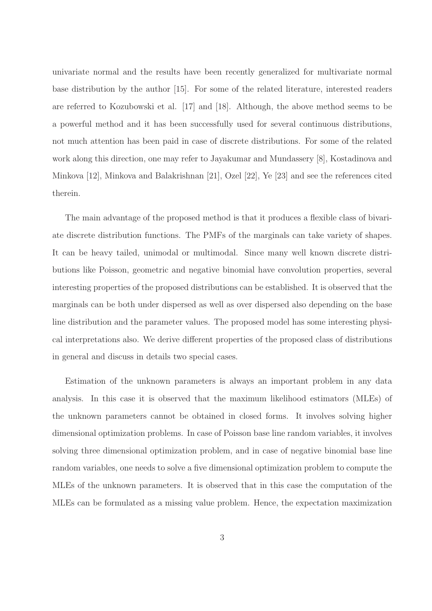univariate normal and the results have been recently generalized for multivariate normal base distribution by the author [15]. For some of the related literature, interested readers are referred to Kozubowski et al. [17] and [18]. Although, the above method seems to be a powerful method and it has been successfully used for several continuous distributions, not much attention has been paid in case of discrete distributions. For some of the related work along this direction, one may refer to Jayakumar and Mundassery [8], Kostadinova and Minkova [12], Minkova and Balakrishnan [21], Ozel [22], Ye [23] and see the references cited therein.

The main advantage of the proposed method is that it produces a flexible class of bivariate discrete distribution functions. The PMFs of the marginals can take variety of shapes. It can be heavy tailed, unimodal or multimodal. Since many well known discrete distributions like Poisson, geometric and negative binomial have convolution properties, several interesting properties of the proposed distributions can be established. It is observed that the marginals can be both under dispersed as well as over dispersed also depending on the base line distribution and the parameter values. The proposed model has some interesting physical interpretations also. We derive different properties of the proposed class of distributions in general and discuss in details two special cases.

Estimation of the unknown parameters is always an important problem in any data analysis. In this case it is observed that the maximum likelihood estimators (MLEs) of the unknown parameters cannot be obtained in closed forms. It involves solving higher dimensional optimization problems. In case of Poisson base line random variables, it involves solving three dimensional optimization problem, and in case of negative binomial base line random variables, one needs to solve a five dimensional optimization problem to compute the MLEs of the unknown parameters. It is observed that in this case the computation of the MLEs can be formulated as a missing value problem. Hence, the expectation maximization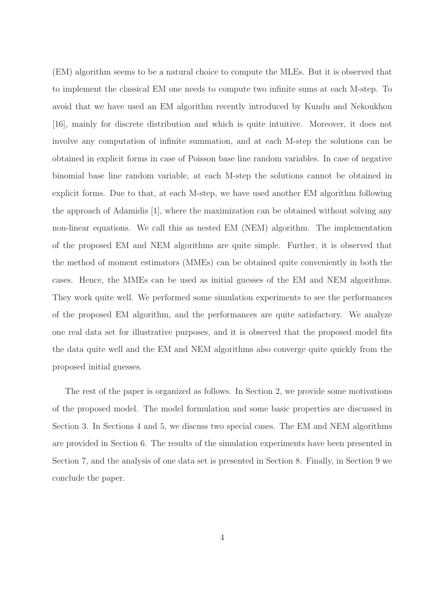(EM) algorithm seems to be a natural choice to compute the MLEs. But it is observed that to implement the classical EM one needs to compute two infinite sums at each M-step. To avoid that we have used an EM algorithm recently introduced by Kundu and Nekoukhou [16], mainly for discrete distribution and which is quite intuitive. Moreover, it does not involve any computation of infinite summation, and at each M-step the solutions can be obtained in explicit forms in case of Poisson base line random variables. In case of negative binomial base line random variable, at each M-step the solutions cannot be obtained in explicit forms. Due to that, at each M-step, we have used another EM algorithm following the approach of Adamidis [1], where the maximization can be obtained without solving any non-linear equations. We call this as nested EM (NEM) algorithm. The implementation of the proposed EM and NEM algorithms are quite simple. Further, it is observed that the method of moment estimators (MMEs) can be obtained quite conveniently in both the cases. Hence, the MMEs can be used as initial guesses of the EM and NEM algorithms. They work quite well. We performed some simulation experiments to see the performances of the proposed EM algorithm, and the performances are quite satisfactory. We analyze one real data set for illustrative purposes, and it is observed that the proposed model fits the data quite well and the EM and NEM algorithms also converge quite quickly from the proposed initial guesses.

The rest of the paper is organized as follows. In Section 2, we provide some motivations of the proposed model. The model formulation and some basic properties are discussed in Section 3. In Sections 4 and 5, we discuss two special cases. The EM and NEM algorithms are provided in Section 6. The results of the simulation experiments have been presented in Section 7, and the analysis of one data set is presented in Section 8. Finally, in Section 9 we conclude the paper.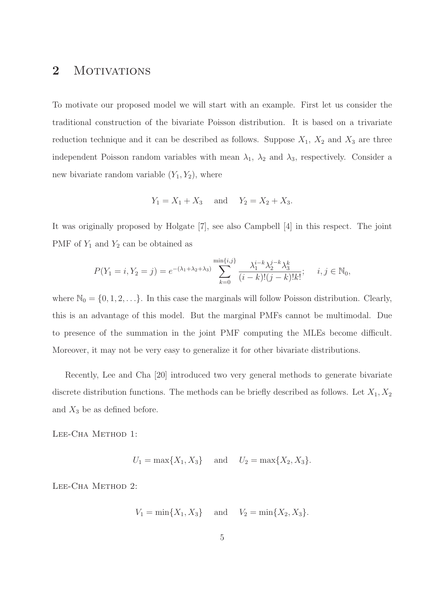### 2 MOTIVATIONS

To motivate our proposed model we will start with an example. First let us consider the traditional construction of the bivariate Poisson distribution. It is based on a trivariate reduction technique and it can be described as follows. Suppose  $X_1$ ,  $X_2$  and  $X_3$  are three independent Poisson random variables with mean  $\lambda_1$ ,  $\lambda_2$  and  $\lambda_3$ , respectively. Consider a new bivariate random variable  $(Y_1, Y_2)$ , where

$$
Y_1 = X_1 + X_3
$$
 and  $Y_2 = X_2 + X_3$ .

It was originally proposed by Holgate [7], see also Campbell [4] in this respect. The joint PMF of  $Y_1$  and  $Y_2$  can be obtained as

$$
P(Y_1 = i, Y_2 = j) = e^{-(\lambda_1 + \lambda_2 + \lambda_3)} \sum_{k=0}^{\min\{i,j\}} \frac{\lambda_1^{i-k} \lambda_2^{j-k} \lambda_3^k}{(i-k)!(j-k)!k!}; \quad i, j \in \mathbb{N}_0,
$$

where  $\mathbb{N}_0 = \{0, 1, 2, \ldots\}$ . In this case the marginals will follow Poisson distribution. Clearly, this is an advantage of this model. But the marginal PMFs cannot be multimodal. Due to presence of the summation in the joint PMF computing the MLEs become difficult. Moreover, it may not be very easy to generalize it for other bivariate distributions.

Recently, Lee and Cha [20] introduced two very general methods to generate bivariate discrete distribution functions. The methods can be briefly described as follows. Let  $X_1, X_2$ and  $X_3$  be as defined before.

Lee-Cha Method 1:

 $U_1 = \max\{X_1, X_3\}$  and  $U_2 = \max\{X_2, X_3\}.$ 

Lee-Cha Method 2:

$$
V_1 = \min\{X_1, X_3\}
$$
 and  $V_2 = \min\{X_2, X_3\}.$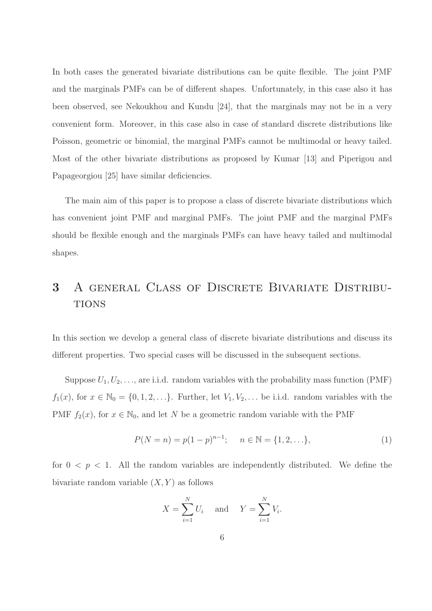In both cases the generated bivariate distributions can be quite flexible. The joint PMF and the marginals PMFs can be of different shapes. Unfortunately, in this case also it has been observed, see Nekoukhou and Kundu [24], that the marginals may not be in a very convenient form. Moreover, in this case also in case of standard discrete distributions like Poisson, geometric or binomial, the marginal PMFs cannot be multimodal or heavy tailed. Most of the other bivariate distributions as proposed by Kumar [13] and Piperigou and Papageorgiou [25] have similar deficiencies.

The main aim of this paper is to propose a class of discrete bivariate distributions which has convenient joint PMF and marginal PMFs. The joint PMF and the marginal PMFs should be flexible enough and the marginals PMFs can have heavy tailed and multimodal shapes.

## 3 A general Class of Discrete Bivariate Distribu-**TIONS**

In this section we develop a general class of discrete bivariate distributions and discuss its different properties. Two special cases will be discussed in the subsequent sections.

Suppose  $U_1, U_2, \ldots$ , are i.i.d. random variables with the probability mass function (PMF)  $f_1(x)$ , for  $x \in \mathbb{N}_0 = \{0, 1, 2, \ldots\}$ . Further, let  $V_1, V_2, \ldots$  be i.i.d. random variables with the PMF  $f_2(x)$ , for  $x \in \mathbb{N}_0$ , and let N be a geometric random variable with the PMF

$$
P(N = n) = p(1 - p)^{n-1}; \quad n \in \mathbb{N} = \{1, 2, \ldots\},
$$
\n(1)

for  $0 < p < 1$ . All the random variables are independently distributed. We define the bivariate random variable  $(X, Y)$  as follows

$$
X = \sum_{i=1}^{N} U_i \quad \text{and} \quad Y = \sum_{i=1}^{N} V_i.
$$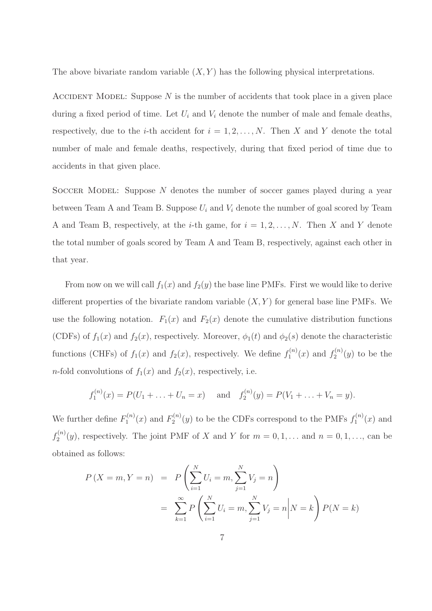The above bivariate random variable  $(X, Y)$  has the following physical interpretations.

ACCIDENT MODEL: Suppose  $N$  is the number of accidents that took place in a given place during a fixed period of time. Let  $U_i$  and  $V_i$  denote the number of male and female deaths, respectively, due to the *i*-th accident for  $i = 1, 2, ..., N$ . Then X and Y denote the total number of male and female deaths, respectively, during that fixed period of time due to accidents in that given place.

SOCCER MODEL: Suppose  $N$  denotes the number of soccer games played during a year between Team A and Team B. Suppose  $U_i$  and  $V_i$  denote the number of goal scored by Team A and Team B, respectively, at the *i*-th game, for  $i = 1, 2, ..., N$ . Then X and Y denote the total number of goals scored by Team A and Team B, respectively, against each other in that year.

From now on we will call  $f_1(x)$  and  $f_2(y)$  the base line PMFs. First we would like to derive different properties of the bivariate random variable  $(X, Y)$  for general base line PMFs. We use the following notation.  $F_1(x)$  and  $F_2(x)$  denote the cumulative distribution functions (CDFs) of  $f_1(x)$  and  $f_2(x)$ , respectively. Moreover,  $\phi_1(t)$  and  $\phi_2(s)$  denote the characteristic functions (CHFs) of  $f_1(x)$  and  $f_2(x)$ , respectively. We define  $f_1^{(n)}$  $f_1^{(n)}(x)$  and  $f_2^{(n)}$  $x_2^{(n)}(y)$  to be the *n*-fold convolutions of  $f_1(x)$  and  $f_2(x)$ , respectively, i.e.

$$
f_1^{(n)}(x) = P(U_1 + \ldots + U_n = x)
$$
 and  $f_2^{(n)}(y) = P(V_1 + \ldots + V_n = y)$ .

We further define  $F_1^{(n)}$  $f_1^{(n)}(x)$  and  $F_2^{(n)}$  $\chi_2^{(n)}(y)$  to be the CDFs correspond to the PMFs  $f_1^{(n)}$  $j_1^{(n)}(x)$  and  $f_2^{(n)}$  $2^{(n)}(y)$ , respectively. The joint PMF of X and Y for  $m = 0, 1, \ldots$  and  $n = 0, 1, \ldots$ , can be obtained as follows:

$$
P(X = m, Y = n) = P\left(\sum_{i=1}^{N} U_i = m, \sum_{j=1}^{N} V_j = n\right)
$$
  
= 
$$
\sum_{k=1}^{\infty} P\left(\sum_{i=1}^{N} U_i = m, \sum_{j=1}^{N} V_j = n | N = k\right) P(N = k)
$$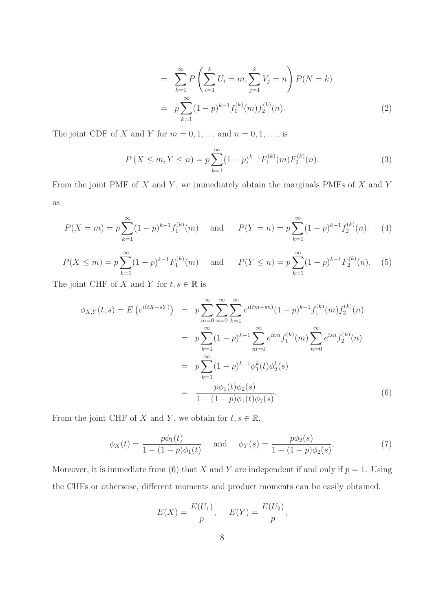$$
= \sum_{k=1}^{\infty} P\left(\sum_{i=1}^{k} U_i = m, \sum_{j=1}^{k} V_j = n\right) P(N = k)
$$
  

$$
= p \sum_{k=1}^{\infty} (1-p)^{k-1} f_1^{(k)}(m) f_2^{(k)}(n).
$$
 (2)

The joint CDF of X and Y for  $m = 0, 1, \ldots$  and  $n = 0, 1, \ldots$ , is

$$
P(X \le m, Y \le n) = p \sum_{k=1}^{\infty} (1-p)^{k-1} F_1^{(k)}(m) F_2^{(k)}(n). \tag{3}
$$

From the joint PMF of  $X$  and  $Y$ , we immediately obtain the marginals PMFs of  $X$  and  $Y$ as

$$
P(X = m) = p \sum_{k=1}^{\infty} (1 - p)^{k-1} f_1^{(k)}(m) \quad \text{and} \quad P(Y = n) = p \sum_{k=1}^{\infty} (1 - p)^{k-1} f_2^{(k)}(n). \tag{4}
$$

$$
P(X \le m) = p \sum_{k=1}^{\infty} (1-p)^{k-1} F_1^{(k)}(m) \quad \text{and} \quad P(Y \le n) = p \sum_{k=1}^{\infty} (1-p)^{k-1} F_2^{(k)}(n). \tag{5}
$$

The joint CHF of X and Y for  $t, s \in \mathbb{R}$  is

$$
\phi_{X,Y}(t,s) = E\left(e^{i(tX+sY)}\right) = p \sum_{m=0}^{\infty} \sum_{n=0}^{\infty} \sum_{k=1}^{\infty} e^{i(tm+sn)} (1-p)^{k-1} f_1^{(k)}(m) f_2^{(k)}(n)
$$

$$
= p \sum_{k=1}^{\infty} (1-p)^{k-1} \sum_{m=0}^{\infty} e^{itm} f_1^{(k)}(m) \sum_{n=0}^{\infty} e^{isn} f_2^{(k)}(n)
$$

$$
= p \sum_{k=1}^{\infty} (1-p)^{k-1} \phi_1^k(t) \phi_2^k(s)
$$

$$
= \frac{p \phi_1(t) \phi_2(s)}{1 - (1-p) \phi_1(t) \phi_2(s)}.
$$
(6)

From the joint CHF of X and Y, we obtain for  $t, s \in \mathbb{R}$ ,

$$
\phi_X(t) = \frac{p\phi_1(t)}{1 - (1 - p)\phi_1(t)} \quad \text{and} \quad \phi_Y(s) = \frac{p\phi_2(s)}{1 - (1 - p)\phi_2(s)}.\tag{7}
$$

Moreover, it is immediate from (6) that X and Y are independent if and only if  $p = 1$ . Using the CHFs or otherwise, different moments and product moments can be easily obtained.

$$
E(X) = \frac{E(U_1)}{p}, \quad E(Y) = \frac{E(U_2)}{p},
$$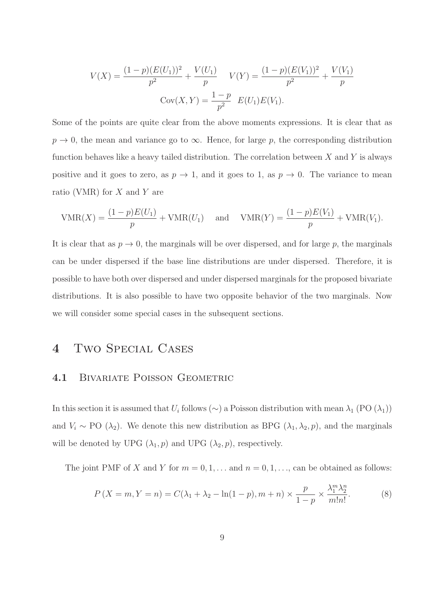$$
V(X) = \frac{(1-p)(E(U_1))^2}{p^2} + \frac{V(U_1)}{p} \qquad V(Y) = \frac{(1-p)(E(V_1))^2}{p^2} + \frac{V(V_1)}{p}
$$

$$
Cov(X, Y) = \frac{1-p}{p^2} \quad E(U_1)E(V_1).
$$

Some of the points are quite clear from the above moments expressions. It is clear that as  $p \to 0$ , the mean and variance go to  $\infty$ . Hence, for large p, the corresponding distribution function behaves like a heavy tailed distribution. The correlation between  $X$  and  $Y$  is always positive and it goes to zero, as  $p \to 1$ , and it goes to 1, as  $p \to 0$ . The variance to mean ratio (VMR) for  $X$  and  $Y$  are

$$
VMR(X) = \frac{(1-p)E(U_1)}{p} + VMR(U_1) \text{ and } VMR(Y) = \frac{(1-p)E(V_1)}{p} + VMR(V_1).
$$

It is clear that as  $p \to 0$ , the marginals will be over dispersed, and for large p, the marginals can be under dispersed if the base line distributions are under dispersed. Therefore, it is possible to have both over dispersed and under dispersed marginals for the proposed bivariate distributions. It is also possible to have two opposite behavior of the two marginals. Now we will consider some special cases in the subsequent sections.

## 4 Two Special Cases

#### 4.1 BIVARIATE POISSON GEOMETRIC

In this section it is assumed that  $U_i$  follows (∼) a Poisson distribution with mean  $\lambda_1$  (PO ( $\lambda_1$ )) and  $V_i \sim \text{PO}(\lambda_2)$ . We denote this new distribution as BPG  $(\lambda_1, \lambda_2, p)$ , and the marginals will be denoted by UPG  $(\lambda_1, p)$  and UPG  $(\lambda_2, p)$ , respectively.

The joint PMF of X and Y for  $m = 0, 1, \ldots$  and  $n = 0, 1, \ldots$ , can be obtained as follows:

$$
P(X = m, Y = n) = C(\lambda_1 + \lambda_2 - \ln(1 - p), m + n) \times \frac{p}{1 - p} \times \frac{\lambda_1^m \lambda_2^n}{m! n!}.
$$
 (8)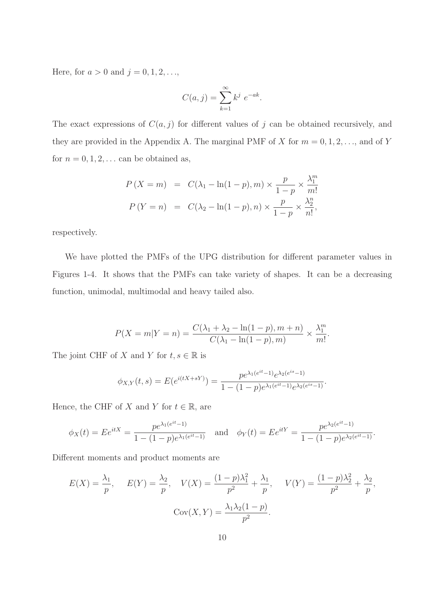Here, for  $a > 0$  and  $j = 0, 1, 2, ...$ ,

$$
C(a,j) = \sum_{k=1}^{\infty} k^j e^{-ak}.
$$

The exact expressions of  $C(a, j)$  for different values of j can be obtained recursively, and they are provided in the Appendix A. The marginal PMF of X for  $m = 0, 1, 2, \ldots$ , and of Y for  $n = 0, 1, 2, \ldots$  can be obtained as,

$$
P(X = m) = C(\lambda_1 - \ln(1 - p), m) \times \frac{p}{1 - p} \times \frac{\lambda_1^m}{m!}
$$

$$
P(Y = n) = C(\lambda_2 - \ln(1 - p), n) \times \frac{p}{1 - p} \times \frac{\lambda_2^n}{n!},
$$

respectively.

We have plotted the PMFs of the UPG distribution for different parameter values in Figures 1-4. It shows that the PMFs can take variety of shapes. It can be a decreasing function, unimodal, multimodal and heavy tailed also.

$$
P(X = m|Y = n) = \frac{C(\lambda_1 + \lambda_2 - \ln(1 - p), m + n)}{C(\lambda_1 - \ln(1 - p), m)} \times \frac{\lambda_1^m}{m!}.
$$

The joint CHF of X and Y for  $t, s \in \mathbb{R}$  is

$$
\phi_{X,Y}(t,s) = E(e^{i(tX+sY)}) = \frac{pe^{\lambda_1(e^{it}-1)}e^{\lambda_2(e^{is}-1)}}{1-(1-p)e^{\lambda_1(e^{it}-1)}e^{\lambda_2(e^{is}-1)}}.
$$

Hence, the CHF of X and Y for  $t \in \mathbb{R}$ , are

$$
\phi_X(t) = E e^{itX} = \frac{p e^{\lambda_1(e^{it}-1)}}{1 - (1-p)e^{\lambda_1(e^{it}-1)}} \quad \text{and} \quad \phi_Y(t) = E e^{itY} = \frac{p e^{\lambda_2(e^{it}-1)}}{1 - (1-p)e^{\lambda_2(e^{it}-1)}}.
$$

Different moments and product moments are

$$
E(X) = \frac{\lambda_1}{p}, \quad E(Y) = \frac{\lambda_2}{p}, \quad V(X) = \frac{(1-p)\lambda_1^2}{p^2} + \frac{\lambda_1}{p}, \quad V(Y) = \frac{(1-p)\lambda_2^2}{p^2} + \frac{\lambda_2}{p},
$$

$$
Cov(X, Y) = \frac{\lambda_1 \lambda_2 (1-p)}{p^2}.
$$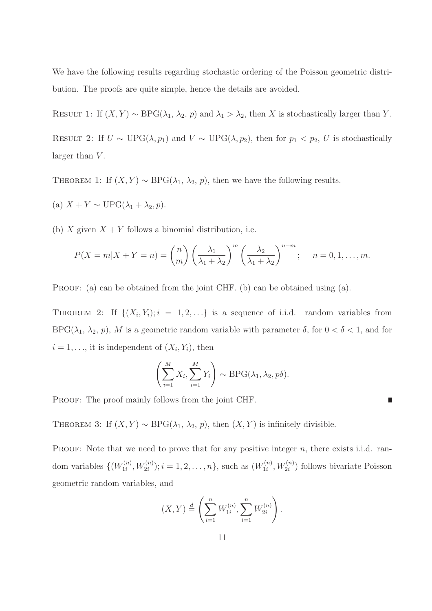We have the following results regarding stochastic ordering of the Poisson geometric distribution. The proofs are quite simple, hence the details are avoided.

RESULT 1: If  $(X, Y) \sim \text{BPG}(\lambda_1, \lambda_2, p)$  and  $\lambda_1 > \lambda_2$ , then X is stochastically larger than Y.

RESULT 2: If  $U \sim \text{UPG}(\lambda, p_1)$  and  $V \sim \text{UPG}(\lambda, p_2)$ , then for  $p_1 < p_2$ , U is stochastically larger than  $V$ .

THEOREM 1: If  $(X, Y) \sim \text{BPG}(\lambda_1, \lambda_2, p)$ , then we have the following results.

- (a)  $X + Y \sim \text{UPG}(\lambda_1 + \lambda_2, p)$ .
- (b) X given  $X + Y$  follows a binomial distribution, i.e.

$$
P(X = m|X + Y = n) = {n \choose m} \left(\frac{\lambda_1}{\lambda_1 + \lambda_2}\right)^m \left(\frac{\lambda_2}{\lambda_1 + \lambda_2}\right)^{n-m}; \quad n = 0, 1, \dots, m.
$$

PROOF: (a) can be obtained from the joint CHF. (b) can be obtained using (a).

THEOREM 2: If  $\{(X_i, Y_i); i = 1, 2, ...\}$  is a sequence of i.i.d. random variables from BPG( $\lambda_1$ ,  $\lambda_2$ , p), M is a geometric random variable with parameter  $\delta$ , for  $0 < \delta < 1$ , and for  $i = 1, \ldots$ , it is independent of  $(X_i, Y_i)$ , then

$$
\left(\sum_{i=1}^{M} X_i, \sum_{i=1}^{M} Y_i\right) \sim \text{BPG}(\lambda_1, \lambda_2, p\delta).
$$

П

PROOF: The proof mainly follows from the joint CHF.

THEOREM 3: If  $(X, Y) \sim \text{BPG}(\lambda_1, \lambda_2, p)$ , then  $(X, Y)$  is infinitely divisible.

PROOF: Note that we need to prove that for any positive integer  $n$ , there exists i.i.d. random variables  $\{W_{1i}^{(n)}\}$  $U_{1i}^{(n)}, W_{2i}^{(n)}$ ;  $i = 1, 2, ..., n$ , such as  $(W_{1i}^{(n)})$  $U_{1i}^{(n)}, W_{2i}^{(n)}$  follows bivariate Poisson geometric random variables, and

$$
(X,Y) \stackrel{d}{=} \left(\sum_{i=1}^n W_{1i}^{(n)}, \sum_{i=1}^n W_{2i}^{(n)}\right).
$$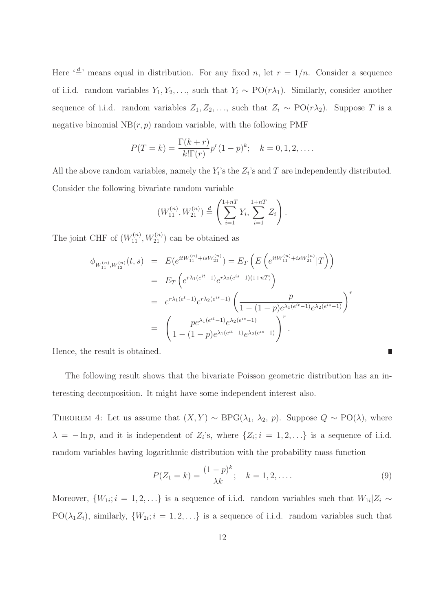Here  $\left(\frac{d}{r}\right)$  means equal in distribution. For any fixed n, let  $r = 1/n$ . Consider a sequence of i.i.d. random variables  $Y_1, Y_2, \ldots$ , such that  $Y_i \sim \text{PO}(r\lambda_1)$ . Similarly, consider another sequence of i.i.d. random variables  $Z_1, Z_2, \ldots$ , such that  $Z_i \sim \text{PO}(r\lambda_2)$ . Suppose T is a negative binomial  $NB(r, p)$  random variable, with the following PMF

$$
P(T = k) = \frac{\Gamma(k+r)}{k!\Gamma(r)}p^{r}(1-p)^{k}; \quad k = 0, 1, 2, ....
$$

All the above random variables, namely the  $Y_i$ 's the  $Z_i$ 's and T are independently distributed. Consider the following bivariate random variable

$$
(W_{11}^{(n)}, W_{21}^{(n)}) \stackrel{d}{=} \left( \sum_{i=1}^{1+nT} Y_i, \sum_{i=1}^{1+nT} Z_i \right).
$$

The joint CHF of  $(W_{11}^{(n)}, W_{21}^{(n)})$  can be obtained as

$$
\phi_{W_{11}^{(n)},W_{12}^{(n)}}(t,s) = E(e^{itW_{11}^{(n)}+isW_{21}^{(n)}}) = E_T\left(E\left(e^{itW_{11}^{(n)}+isW_{21}^{(n)}}|T\right)\right)
$$
\n
$$
= E_T\left(e^{r\lambda_1(e^{it}-1)}e^{r\lambda_2(e^{is}-1)(1+nT)}\right)
$$
\n
$$
= e^{r\lambda_1(e^t-1)}e^{r\lambda_2(e^{is}-1)}\left(\frac{p}{1-(1-p)e^{\lambda_1(e^{it}-1)}e^{\lambda_2(e^{is}-1)}}\right)^r
$$
\n
$$
= \left(\frac{pe^{\lambda_1(e^{it}-1)}e^{\lambda_2(e^{is}-1)}}{1-(1-p)e^{\lambda_1(e^{it}-1)}e^{\lambda_2(e^{is}-1)}}\right)^r.
$$

Hence, the result is obtained.

The following result shows that the bivariate Poisson geometric distribution has an interesting decomposition. It might have some independent interest also.

THEOREM 4: Let us assume that  $(X, Y) \sim \text{BPG}(\lambda_1, \lambda_2, p)$ . Suppose  $Q \sim \text{PO}(\lambda)$ , where  $\lambda = -\ln p$ , and it is independent of  $Z_i$ 's, where  $\{Z_i; i = 1, 2, ...\}$  is a sequence of i.i.d. random variables having logarithmic distribution with the probability mass function

$$
P(Z_1 = k) = \frac{(1-p)^k}{\lambda k}; \quad k = 1, 2, ....
$$
\n(9)

П

Moreover,  $\{W_{1i}; i = 1, 2, ...\}$  is a sequence of i.i.d. random variables such that  $W_{1i}|Z_i \sim$  $PO(\lambda_1 Z_i)$ , similarly,  $\{W_{2i}; i = 1, 2, \ldots\}$  is a sequence of i.i.d. random variables such that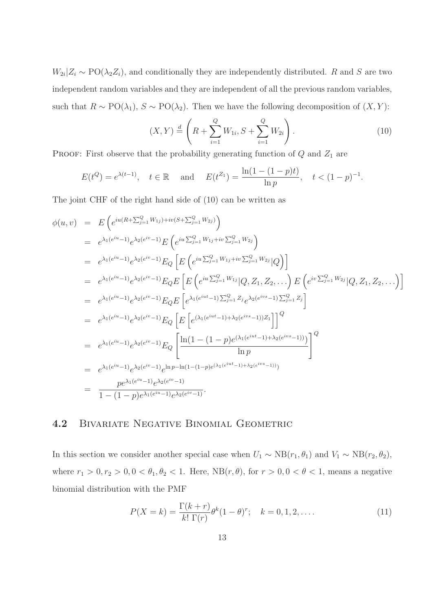$W_{2i}|Z_i \sim \text{PO}(\lambda_2 Z_i)$ , and conditionally they are independently distributed. R and S are two independent random variables and they are independent of all the previous random variables, such that  $R \sim \text{PO}(\lambda_1)$ ,  $S \sim \text{PO}(\lambda_2)$ . Then we have the following decomposition of  $(X, Y)$ :

$$
(X,Y) \stackrel{d}{=} \left(R + \sum_{i=1}^{Q} W_{1i}, S + \sum_{i=1}^{Q} W_{2i}\right).
$$
 (10)

PROOF: First observe that the probability generating function of  $Q$  and  $Z_1$  are

$$
E(t^Q) = e^{\lambda(t-1)}
$$
,  $t \in \mathbb{R}$  and  $E(t^{Z_1}) = \frac{\ln(1 - (1-p)t)}{\ln p}$ ,  $t < (1-p)^{-1}$ .

The joint CHF of the right hand side of (10) can be written as

$$
\begin{split}\n\phi(u,v) &= E\left(e^{iu(R+\sum_{j=1}^{Q}W_{1j})+iv(S+\sum_{j=1}^{Q}W_{2j})}\right) \\
&= e^{\lambda_1(e^{iu}-1)}e^{\lambda_2(e^{iv}-1)}E\left(e^{iu\sum_{j=1}^{Q}W_{1j}+iv\sum_{j=1}^{Q}W_{2j}}\right) \\
&= e^{\lambda_1(e^{iu}-1)}e^{\lambda_2(e^{iv}-1)}E_Q\left[E\left(e^{iu\sum_{j=1}^{Q}W_{1j}+iv\sum_{j=1}^{Q}W_{2j}}|Q\right)\right] \\
&= e^{\lambda_1(e^{iu}-1)}e^{\lambda_2(e^{iv}-1)}E_QE\left[E\left(e^{iu\sum_{j=1}^{Q}W_{1j}}|Q,Z_1,Z_2,\ldots\right)E\left(e^{iv\sum_{j=1}^{Q}W_{2j}}|Q,Z_1,Z_2,\ldots\right)\right] \\
&= e^{\lambda_1(e^{iu}-1)}e^{\lambda_2(e^{iv}-1)}E_QE\left[e^{\lambda_1(e^{iut}-1)\sum_{j=1}^{Q}Z_j}e^{\lambda_2(e^{iv}-1)\sum_{j=1}^{Q}Z_j}\right] \\
&= e^{\lambda_1(e^{iu}-1)}e^{\lambda_2(e^{iv}-1)}E_Q\left[E\left[e^{(\lambda_1(e^{iut}-1)+\lambda_2(e^{iv}-1))Z_1})\right]\right]^Q \\
&= e^{\lambda_1(e^{iu}-1)}e^{\lambda_2(e^{iv}-1)}E_Q\left[\frac{\ln(1-(1-p)e^{(\lambda_1(e^{iut}-1)+\lambda_2(e^{iv}-1))})}{\ln p}\right]^Q \\
&= e^{\lambda_1(e^{iu}-1)}e^{\lambda_2(e^{iv}-1)}e^{\ln p-\ln(1-(1-p)e^{(\lambda_1(e^{iut}-1)+\lambda_2(e^{iv}-1))})} \\
&= \frac{pe^{\lambda_1(e^{iu}-1)}e^{\lambda_2(e^{iv}-1)}}{1-(1-p)e^{\lambda_1(e^{iu}-1)}e^{\lambda_2(e^{iv}-1)}}. \n\end{split}
$$

#### 4.2 Bivariate Negative Binomial Geometric

In this section we consider another special case when  $U_1 \sim NB(r_1, \theta_1)$  and  $V_1 \sim NB(r_2, \theta_2)$ , where  $r_1 > 0, r_2 > 0, 0 < \theta_1, \theta_2 < 1$ . Here,  $NB(r, \theta)$ , for  $r > 0, 0 < \theta < 1$ , means a negative binomial distribution with the PMF

$$
P(X = k) = \frac{\Gamma(k+r)}{k! \Gamma(r)} \theta^k (1-\theta)^r; \quad k = 0, 1, 2, ....
$$
 (11)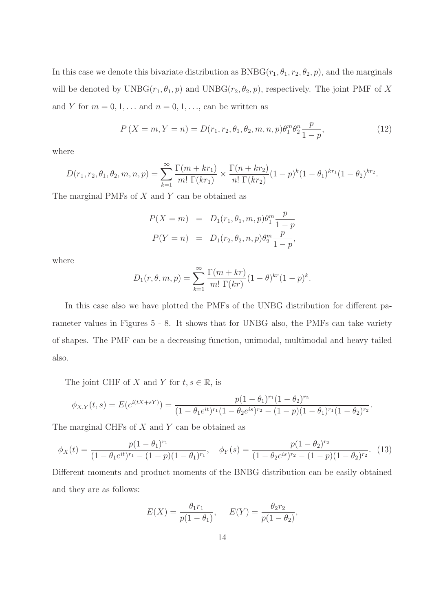In this case we denote this bivariate distribution as  $BNBG(r_1, \theta_1, r_2, \theta_2, p)$ , and the marginals will be denoted by  $\mathrm{UNBG}(r_1, \theta_1, p)$  and  $\mathrm{UNBG}(r_2, \theta_2, p)$ , respectively. The joint PMF of X and Y for  $m = 0, 1, \ldots$  and  $n = 0, 1, \ldots$ , can be written as

$$
P(X = m, Y = n) = D(r_1, r_2, \theta_1, \theta_2, m, n, p)\theta_1^m \theta_2^n \frac{p}{1 - p},
$$
\n(12)

where

$$
D(r_1, r_2, \theta_1, \theta_2, m, n, p) = \sum_{k=1}^{\infty} \frac{\Gamma(m + kr_1)}{m! \Gamma(kr_1)} \times \frac{\Gamma(n + kr_2)}{n! \Gamma(kr_2)} (1 - p)^k (1 - \theta_1)^{kr_1} (1 - \theta_2)^{kr_2}.
$$

The marginal PMFs of  $X$  and  $Y$  can be obtained as

$$
P(X = m) = D_1(r_1, \theta_1, m, p)\theta_1^m \frac{p}{1 - p}
$$
  

$$
P(Y = n) = D_1(r_2, \theta_2, n, p)\theta_2^m \frac{p}{1 - p},
$$

where

$$
D_1(r, \theta, m, p) = \sum_{k=1}^{\infty} \frac{\Gamma(m + kr)}{m! \Gamma(kr)} (1 - \theta)^{kr} (1 - p)^k.
$$

In this case also we have plotted the PMFs of the UNBG distribution for different parameter values in Figures 5 - 8. It shows that for UNBG also, the PMFs can take variety of shapes. The PMF can be a decreasing function, unimodal, multimodal and heavy tailed also.

The joint CHF of X and Y for  $t, s \in \mathbb{R}$ , is

$$
\phi_{X,Y}(t,s) = E(e^{i(tX+sY)}) = \frac{p(1-\theta_1)^{r_1}(1-\theta_2)^{r_2}}{(1-\theta_1e^{it})^{r_1}(1-\theta_2e^{is})^{r_2}-(1-p)(1-\theta_1)^{r_1}(1-\theta_2)^{r_2}}
$$

.

The marginal CHFs of  $X$  and  $Y$  can be obtained as

$$
\phi_X(t) = \frac{p(1-\theta_1)^{r_1}}{(1-\theta_1 e^{it})^{r_1} - (1-p)(1-\theta_1)^{r_1}}, \quad \phi_Y(s) = \frac{p(1-\theta_2)^{r_2}}{(1-\theta_2 e^{is})^{r_2} - (1-p)(1-\theta_2)^{r_2}}.
$$
(13)

Different moments and product moments of the BNBG distribution can be easily obtained and they are as follows:

$$
E(X) = \frac{\theta_1 r_1}{p(1 - \theta_1)}, \quad E(Y) = \frac{\theta_2 r_2}{p(1 - \theta_2)},
$$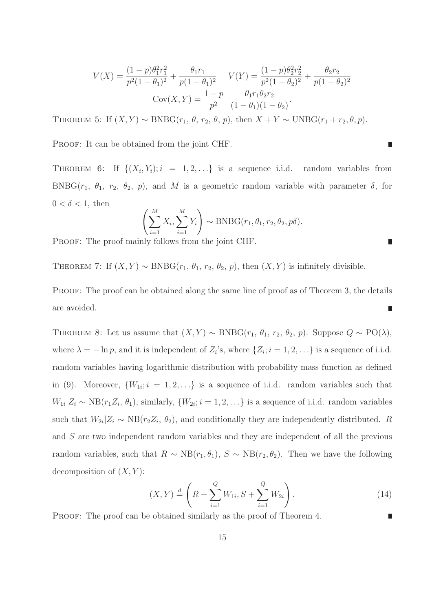$$
V(X) = \frac{(1-p)\theta_1^2 r_1^2}{p^2(1-\theta_1)^2} + \frac{\theta_1 r_1}{p(1-\theta_1)^2} \qquad V(Y) = \frac{(1-p)\theta_2^2 r_2^2}{p^2(1-\theta_2)^2} + \frac{\theta_2 r_2}{p(1-\theta_2)^2}
$$

$$
Cov(X,Y) = \frac{1-p}{p^2} \frac{\theta_1 r_1 \theta_2 r_2}{(1-\theta_1)(1-\theta_2)}.
$$

THEOREM 5: If  $(X, Y) \sim BNBG(r_1, \theta, r_2, \theta, p)$ , then  $X + Y \sim UNBG(r_1 + r_2, \theta, p)$ .

PROOF: It can be obtained from the joint CHF.

THEOREM 6: If  $\{(X_i, Y_i); i = 1, 2, ...\}$  is a sequence i.i.d. random variables from BNBG( $r_1$ ,  $\theta_1$ ,  $r_2$ ,  $\theta_2$ ,  $p$ ), and M is a geometric random variable with parameter  $\delta$ , for  $0 < \delta < 1$ , then

П

$$
\left(\sum_{i=1}^{M} X_i, \sum_{i=1}^{M} Y_i\right) \sim \text{BNBG}(r_1, \theta_1, r_2, \theta_2, p\delta).
$$

PROOF: The proof mainly follows from the joint CHF.

THEOREM 7: If  $(X, Y) \sim BNBG(r_1, \theta_1, r_2, \theta_2, p)$ , then  $(X, Y)$  is infinitely divisible.

PROOF: The proof can be obtained along the same line of proof as of Theorem 3, the details are avoided.  $\overline{\phantom{a}}$ 

THEOREM 8: Let us assume that  $(X, Y) \sim BNBG(r_1, \theta_1, r_2, \theta_2, p)$ . Suppose  $Q \sim PO(\lambda)$ , where  $\lambda = -\ln p$ , and it is independent of  $Z_i$ 's, where  $\{Z_i; i = 1, 2, \ldots\}$  is a sequence of i.i.d. random variables having logarithmic distribution with probability mass function as defined in (9). Moreover,  $\{W_{1i}; i = 1, 2, ...\}$  is a sequence of i.i.d. random variables such that  $W_{1i}|Z_i \sim NB(r_1Z_i, \theta_1)$ , similarly,  $\{W_{2i}; i = 1, 2, \ldots\}$  is a sequence of i.i.d. random variables such that  $W_{2i}|Z_i \sim NB(r_2Z_i, \theta_2)$ , and conditionally they are independently distributed. R and S are two independent random variables and they are independent of all the previous random variables, such that  $R \sim NB(r_1, \theta_1)$ ,  $S \sim NB(r_2, \theta_2)$ . Then we have the following decomposition of  $(X, Y)$ :

$$
(X,Y) \stackrel{d}{=} \left(R + \sum_{i=1}^{Q} W_{1i}, S + \sum_{i=1}^{Q} W_{2i}\right).
$$
 (14)

PROOF: The proof can be obtained similarly as the proof of Theorem 4.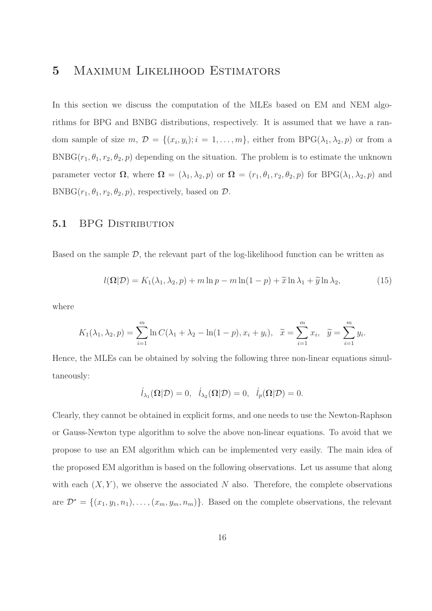## 5 Maximum Likelihood Estimators

In this section we discuss the computation of the MLEs based on EM and NEM algorithms for BPG and BNBG distributions, respectively. It is assumed that we have a random sample of size  $m, \mathcal{D} = \{(x_i, y_i); i = 1, \ldots, m\}$ , either from BPG( $\lambda_1, \lambda_2, p$ ) or from a  $BNBG(r_1, \theta_1, r_2, \theta_2, p)$  depending on the situation. The problem is to estimate the unknown parameter vector  $\Omega$ , where  $\Omega = (\lambda_1, \lambda_2, p)$  or  $\Omega = (r_1, \theta_1, r_2, \theta_2, p)$  for BPG( $\lambda_1, \lambda_2, p$ ) and BNBG( $r_1, \theta_1, r_2, \theta_2, p$ ), respectively, based on  $\mathcal{D}$ .

#### 5.1 BPG DISTRIBUTION

Based on the sample  $\mathcal{D}$ , the relevant part of the log-likelihood function can be written as

$$
l(\mathbf{\Omega}|\mathcal{D}) = K_1(\lambda_1, \lambda_2, p) + m \ln p - m \ln(1 - p) + \tilde{x} \ln \lambda_1 + \tilde{y} \ln \lambda_2,
$$
 (15)

where

$$
K_1(\lambda_1, \lambda_2, p) = \sum_{i=1}^m \ln C(\lambda_1 + \lambda_2 - \ln(1-p), x_i + y_i), \quad \tilde{x} = \sum_{i=1}^m x_i, \quad \tilde{y} = \sum_{i=1}^m y_i.
$$

Hence, the MLEs can be obtained by solving the following three non-linear equations simultaneously:

$$
\dot{l}_{\lambda_1}(\Omega|\mathcal{D})=0, \quad \dot{l}_{\lambda_2}(\Omega|\mathcal{D})=0, \quad \dot{l}_p(\Omega|\mathcal{D})=0.
$$

Clearly, they cannot be obtained in explicit forms, and one needs to use the Newton-Raphson or Gauss-Newton type algorithm to solve the above non-linear equations. To avoid that we propose to use an EM algorithm which can be implemented very easily. The main idea of the proposed EM algorithm is based on the following observations. Let us assume that along with each  $(X, Y)$ , we observe the associated N also. Therefore, the complete observations are  $\mathcal{D}^* = \{(x_1, y_1, n_1), \ldots, (x_m, y_m, n_m)\}\.$  Based on the complete observations, the relevant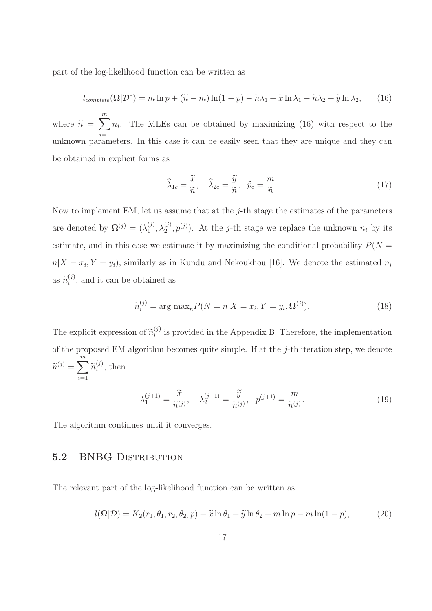part of the log-likelihood function can be written as

$$
l_{complete}(\mathbf{\Omega}|\mathcal{D}^*) = m \ln p + (\tilde{n} - m) \ln(1 - p) - \tilde{n}\lambda_1 + \tilde{x} \ln \lambda_1 - \tilde{n}\lambda_2 + \tilde{y} \ln \lambda_2, \qquad (16)
$$

where  $\widetilde{n} =$  $\sum_{i=1}^{m}$  $i=1$  $n_i$ . The MLEs can be obtained by maximizing (16) with respect to the unknown parameters. In this case it can be easily seen that they are unique and they can be obtained in explicit forms as

$$
\widehat{\lambda}_{1c} = \frac{\widetilde{x}}{\widetilde{n}}, \quad \widehat{\lambda}_{2c} = \frac{\widetilde{y}}{\widetilde{n}}, \quad \widehat{p}_c = \frac{m}{\widetilde{n}}.
$$
\n(17)

Now to implement EM, let us assume that at the  $j$ -th stage the estimates of the parameters are denoted by  $\mathbf{\Omega}^{(j)} = (\lambda_1^{(j)})$  $(1, \lambda_1^{(j)}, \lambda_2^{(j)}, p^{(j)})$ . At the *j*-th stage we replace the unknown  $n_i$  by its estimate, and in this case we estimate it by maximizing the conditional probability  $P(N =$  $n|X=x_i, Y=y_i)$ , similarly as in Kundu and Nekoukhou [16]. We denote the estimated  $n_i$ as  $\widetilde{n}_{i}^{(j)}$  $i^{(j)}$ , and it can be obtained as

$$
\widetilde{n}_i^{(j)} = \arg \max_n P(N = n | X = x_i, Y = y_i, \Omega^{(j)}).
$$
\n(18)

The explicit expression of  $\tilde{n}_i^{(j)}$  $i_j^{(j)}$  is provided in the Appendix B. Therefore, the implementation of the proposed EM algorithm becomes quite simple. If at the  $j$ -th iteration step, we denote  $\widetilde{n}^{(j)} = \sum_{i=1}^m$  $\sum_{i=1} \widetilde{n}_{i}^{(j)}$  $i^{(j)}$ , then

$$
\lambda_1^{(j+1)} = \frac{\widetilde{x}}{\widetilde{n}^{(j)}}, \quad \lambda_2^{(j+1)} = \frac{\widetilde{y}}{\widetilde{n}^{(j)}}, \quad p^{(j+1)} = \frac{m}{\widetilde{n}^{(j)}}.
$$
\n
$$
(19)
$$

The algorithm continues until it converges.

#### 5.2 BNBG DISTRIBUTION

The relevant part of the log-likelihood function can be written as

$$
l(\mathbf{\Omega}|\mathcal{D}) = K_2(r_1, \theta_1, r_2, \theta_2, p) + \widetilde{x} \ln \theta_1 + \widetilde{y} \ln \theta_2 + m \ln p - m \ln(1 - p),
$$
 (20)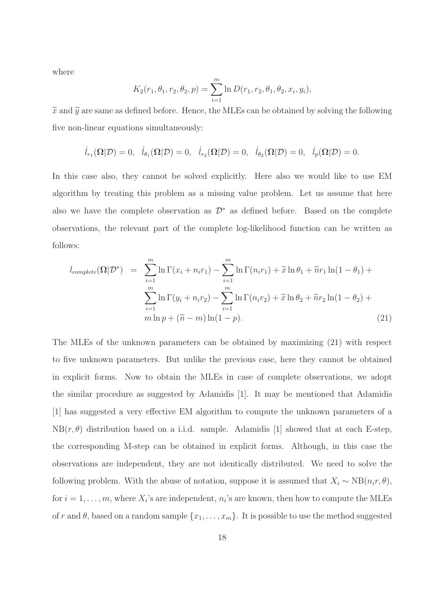where

$$
K_2(r_1, \theta_1, r_2, \theta_2, p) = \sum_{i=1}^m \ln D(r_1, r_2, \theta_1, \theta_2, x_i, y_i),
$$

 $\tilde{x}$  and  $\tilde{y}$  are same as defined before. Hence, the MLEs can be obtained by solving the following five non-linear equations simultaneously:

$$
\dot{l}_{r_1}(\mathbf{\Omega}|\mathcal{D})=0, \quad \dot{l}_{\theta_1}(\mathbf{\Omega}|\mathcal{D})=0, \quad \dot{l}_{r_2}(\mathbf{\Omega}|\mathcal{D})=0, \quad \dot{l}_{\theta_2}(\mathbf{\Omega}|\mathcal{D})=0, \quad \dot{l}_p(\mathbf{\Omega}|\mathcal{D})=0.
$$

In this case also, they cannot be solved explicitly. Here also we would like to use EM algorithm by treating this problem as a missing value problem. Let us assume that here also we have the complete observation as  $\mathcal{D}^*$  as defined before. Based on the complete observations, the relevant part of the complete log-likelihood function can be written as follows:

$$
l_{complete}(\Omega|\mathcal{D}^*) = \sum_{i=1}^{m} \ln \Gamma(x_i + n_i r_1) - \sum_{i=1}^{m} \ln \Gamma(n_i r_1) + \tilde{x} \ln \theta_1 + \tilde{n} r_1 \ln(1 - \theta_1) + \sum_{i=1}^{m} \ln \Gamma(y_i + n_i r_2) - \sum_{i=1}^{m} \ln \Gamma(n_i r_2) + \tilde{x} \ln \theta_2 + \tilde{n} r_2 \ln(1 - \theta_2) + \frac{m}{m} \ln p + (\tilde{n} - m) \ln(1 - p).
$$
\n(21)

The MLEs of the unknown parameters can be obtained by maximizing (21) with respect to five unknown parameters. But unlike the previous case, here they cannot be obtained in explicit forms. Now to obtain the MLEs in case of complete observations, we adopt the similar procedure as suggested by Adamidis [1]. It may be mentioned that Adamidis [1] has suggested a very effective EM algorithm to compute the unknown parameters of a  $NB(r, \theta)$  distribution based on a i.i.d. sample. Adamidis [1] showed that at each E-step, the corresponding M-step can be obtained in explicit forms. Although, in this case the observations are independent, they are not identically distributed. We need to solve the following problem. With the abuse of notation, suppose it is assumed that  $X_i \sim NB(n_i r, \theta)$ , for  $i = 1, \ldots, m$ , where  $X_i$ 's are independent,  $n_i$ 's are known, then how to compute the MLEs of r and  $\theta$ , based on a random sample  $\{x_1, \ldots, x_m\}$ . It is possible to use the method suggested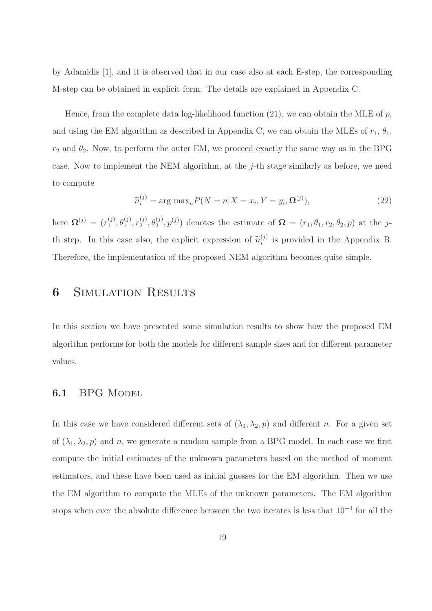by Adamidis [1], and it is observed that in our case also at each E-step, the corresponding M-step can be obtained in explicit form. The details are explained in Appendix C.

Hence, from the complete data log-likelihood function  $(21)$ , we can obtain the MLE of p, and using the EM algorithm as described in Appendix C, we can obtain the MLEs of  $r_1$ ,  $\theta_1$ ,  $r_2$  and  $\theta_2$ . Now, to perform the outer EM, we proceed exactly the same way as in the BPG case. Now to implement the NEM algorithm, at the j-th stage similarly as before, we need to compute

$$
\widetilde{n}_i^{(j)} = \arg \max_n P(N = n | X = x_i, Y = y_i, \Omega^{(j)}), \tag{22}
$$

here  $\mathbf{\Omega}^{(j)} = (r_1^{(j)})$  $\theta_1^{(j)}, \theta_1^{(j)}, r_2^{(j)}$  $(2^j, \theta_2^{(j)}, p^{(j)})$  denotes the estimate of  $\Omega = (r_1, \theta_1, r_2, \theta_2, p)$  at the jth step. In this case also, the explicit expression of  $\tilde{n}_i^{(j)}$  $i_j^{(j)}$  is provided in the Appendix B. Therefore, the implementation of the proposed NEM algorithm becomes quite simple.

### **6** SIMULATION RESULTS

In this section we have presented some simulation results to show how the proposed EM algorithm performs for both the models for different sample sizes and for different parameter values.

#### 6.1 BPG MODEL

In this case we have considered different sets of  $(\lambda_1, \lambda_2, p)$  and different n. For a given set of  $(\lambda_1, \lambda_2, p)$  and n, we generate a random sample from a BPG model. In each case we first compute the initial estimates of the unknown parameters based on the method of moment estimators, and these have been used as initial guesses for the EM algorithm. Then we use the EM algorithm to compute the MLEs of the unknown parameters. The EM algorithm stops when ever the absolute difference between the two iterates is less that  $10^{-4}$  for all the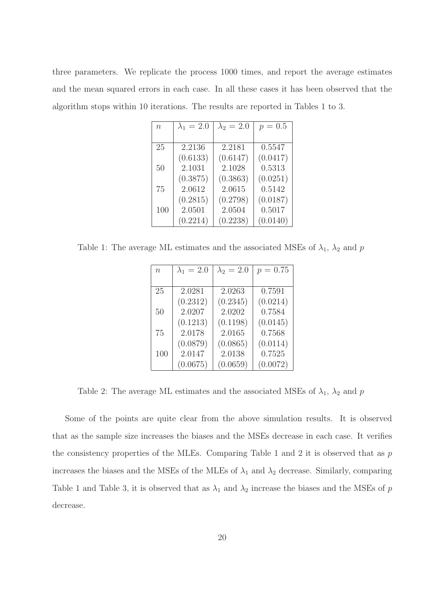three parameters. We replicate the process 1000 times, and report the average estimates and the mean squared errors in each case. In all these cases it has been observed that the algorithm stops within 10 iterations. The results are reported in Tables 1 to 3.

| $\eta$ | $\lambda_1=2.0$ | $\lambda_2 = 2.0$ | $p = 0.5$ |
|--------|-----------------|-------------------|-----------|
|        |                 |                   |           |
| 25     | 2.2136          | 2.2181            | 0.5547    |
|        | (0.6133)        | (0.6147)          | (0.0417)  |
| 50     | 2.1031          | 2.1028            | 0.5313    |
|        | (0.3875)        | (0.3863)          | (0.0251)  |
| 75     | 2.0612          | 2.0615            | 0.5142    |
|        | (0.2815)        | (0.2798)          | (0.0187)  |
| 100    | 2.0501          | 2.0504            | 0.5017    |
|        | (0.2214)        | (0.2238)          | (0.0140)  |

Table 1: The average ML estimates and the associated MSEs of  $\lambda_1$ ,  $\lambda_2$  and  $p$ 

| $\eta$ | $\lambda_1 = 2.0$ | $\lambda_2 = 2.0$ | $p = 0.75$ |
|--------|-------------------|-------------------|------------|
|        |                   |                   |            |
| 25     | 2.0281            | 2.0263            | 0.7591     |
|        | (0.2312)          | (0.2345)          | (0.0214)   |
| 50     | 2.0207            | 2.0202            | 0.7584     |
|        | (0.1213)          | (0.1198)          | (0.0145)   |
| 75     | 2.0178            | 2.0165            | 0.7568     |
|        | (0.0879)          | (0.0865)          | (0.0114)   |
| 100    | 2.0147            | 2.0138            | 0.7525     |
|        | (0.0675)          | (0.0659)          | (0.0072)   |

Table 2: The average ML estimates and the associated MSEs of  $\lambda_1$ ,  $\lambda_2$  and p

Some of the points are quite clear from the above simulation results. It is observed that as the sample size increases the biases and the MSEs decrease in each case. It verifies the consistency properties of the MLEs. Comparing Table 1 and 2 it is observed that as  $p$ increases the biases and the MSEs of the MLEs of  $\lambda_1$  and  $\lambda_2$  decrease. Similarly, comparing Table 1 and Table 3, it is observed that as  $\lambda_1$  and  $\lambda_2$  increase the biases and the MSEs of p decrease.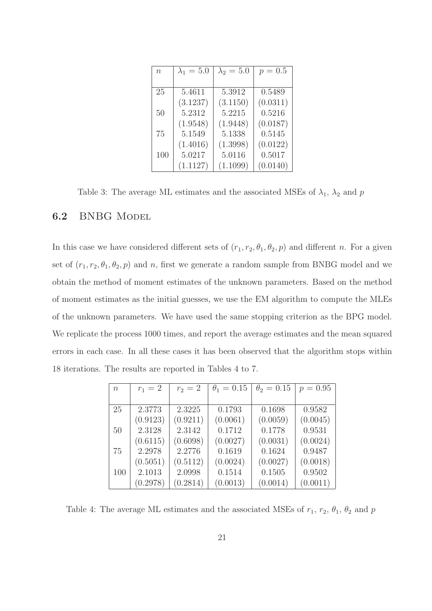| $\boldsymbol{n}$ | $\lambda_1=5.0$ | $\lambda_2=5.0$ | $p = 0.5$ |
|------------------|-----------------|-----------------|-----------|
|                  |                 |                 |           |
| 25               | 5.4611          | 5.3912          | 0.5489    |
|                  | (3.1237)        | (3.1150)        | (0.0311)  |
| 50               | 5.2312          | 5.2215          | 0.5216    |
|                  | (1.9548)        | (1.9448)        | (0.0187)  |
| 75               | 5.1549          | 5.1338          | 0.5145    |
|                  | (1.4016)        | (1.3998)        | (0.0122)  |
| 100              | 5.0217          | 5.0116          | 0.5017    |
|                  | (1.1127)        | (1.1099)        | (0.0140)  |

Table 3: The average ML estimates and the associated MSEs of  $\lambda_1$ ,  $\lambda_2$  and p

#### 6.2 BNBG Model

In this case we have considered different sets of  $(r_1, r_2, \theta_1, \theta_2, p)$  and different n. For a given set of  $(r_1, r_2, \theta_1, \theta_2, p)$  and n, first we generate a random sample from BNBG model and we obtain the method of moment estimates of the unknown parameters. Based on the method of moment estimates as the initial guesses, we use the EM algorithm to compute the MLEs of the unknown parameters. We have used the same stopping criterion as the BPG model. We replicate the process 1000 times, and report the average estimates and the mean squared errors in each case. In all these cases it has been observed that the algorithm stops within 18 iterations. The results are reported in Tables 4 to 7.

| $\eta$ | $r_1 = 2$ | $r_2 = 2$ | $\theta_1 = 0.15$ | $\theta_2 = 0.15$ | $p = 0.95$ |
|--------|-----------|-----------|-------------------|-------------------|------------|
|        |           |           |                   |                   |            |
| 25     | 2.3773    | 2.3225    | 0.1793            | 0.1698            | 0.9582     |
|        | (0.9123)  | (0.9211)  | (0.0061)          | (0.0059)          | (0.0045)   |
| 50     | 2.3128    | 2.3142    | 0.1712            | 0.1778            | 0.9531     |
|        | (0.6115)  | (0.6098)  | (0.0027)          | (0.0031)          | (0.0024)   |
| 75     | 2.2978    | 2.2776    | 0.1619            | 0.1624            | 0.9487     |
|        | (0.5051)  | (0.5112)  | (0.0024)          | (0.0027)          | (0.0018)   |
| 100    | 2.1013    | 2.0998    | 0.1514            | 0.1505            | 0.9502     |
|        | (0.2978)  | (0.2814)  | (0.0013)          | (0.0014)          | (0.0011)   |

Table 4: The average ML estimates and the associated MSEs of  $r_1$ ,  $r_2$ ,  $\theta_1$ ,  $\theta_2$  and p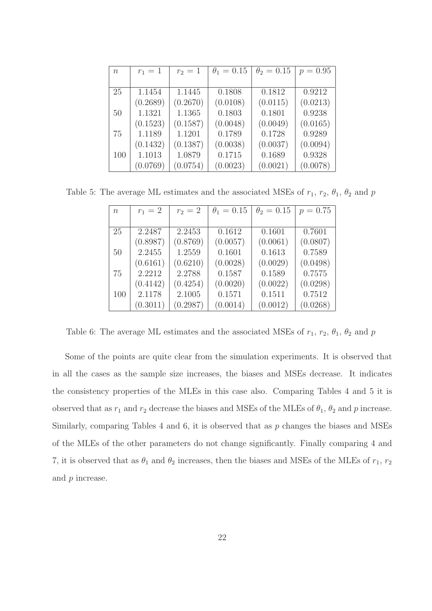| $n_{\rm}$ | $r_1 = 1$ | $r_2=1$  | $\theta_1 = 0.15$ | $\theta_2 = 0.15$ | $p = 0.95$ |
|-----------|-----------|----------|-------------------|-------------------|------------|
|           |           |          |                   |                   |            |
| 25        | 1.1454    | 1.1445   | 0.1808            | 0.1812            | 0.9212     |
|           | (0.2689)  | (0.2670) | (0.0108)          | (0.0115)          | (0.0213)   |
| 50        | 1.1321    | 1.1365   | 0.1803            | 0.1801            | 0.9238     |
|           | (0.1523)  | (0.1587) | (0.0048)          | (0.0049)          | (0.0165)   |
| 75        | 1.1189    | 1.1201   | 0.1789            | 0.1728            | 0.9289     |
|           | (0.1432)  | (0.1387) | (0.0038)          | (0.0037)          | (0.0094)   |
| 100       | 1.1013    | 1.0879   | 0.1715            | 0.1689            | 0.9328     |
|           | (0.0769)  | (0.0754) | (0.0023)          | (0.0021)          | (0.0078)   |

Table 5: The average ML estimates and the associated MSEs of  $r_1$ ,  $r_2$ ,  $\theta_1$ ,  $\theta_2$  and p

| $\boldsymbol{n}$ | $r_1 = 2$ | $r_2 = 2$ | $\theta_1 = 0.15$ | $\theta_2 = 0.15$ | $p = 0.75$ |
|------------------|-----------|-----------|-------------------|-------------------|------------|
|                  |           |           |                   |                   |            |
| 25               | 2.2487    | 2.2453    | 0.1612            | 0.1601            | 0.7601     |
|                  | (0.8987)  | (0.8769)  | (0.0057)          | (0.0061)          | (0.0807)   |
| 50               | 2.2455    | 1.2559    | 0.1601            | 0.1613            | 0.7589     |
|                  | (0.6161)  | (0.6210)  | (0.0028)          | (0.0029)          | (0.0498)   |
| 75               | 2.2212    | 2.2788    | 0.1587            | 0.1589            | 0.7575     |
|                  | (0.4142)  | (0.4254)  | (0.0020)          | (0.0022)          | (0.0298)   |
| 100              | 2.1178    | 2.1005    | 0.1571            | 0.1511            | 0.7512     |
|                  | (0.3011)  | (0.2987)  | (0.0014)          | (0.0012)          | (0.0268)   |

Table 6: The average ML estimates and the associated MSEs of  $r_1$ ,  $r_2$ ,  $\theta_1$ ,  $\theta_2$  and  $p$ 

Some of the points are quite clear from the simulation experiments. It is observed that in all the cases as the sample size increases, the biases and MSEs decrease. It indicates the consistency properties of the MLEs in this case also. Comparing Tables 4 and 5 it is observed that as  $r_1$  and  $r_2$  decrease the biases and MSEs of the MLEs of  $\theta_1$ ,  $\theta_2$  and p increase. Similarly, comparing Tables 4 and 6, it is observed that as p changes the biases and MSEs of the MLEs of the other parameters do not change significantly. Finally comparing 4 and 7, it is observed that as  $\theta_1$  and  $\theta_2$  increases, then the biases and MSEs of the MLEs of  $r_1$ ,  $r_2$ and p increase.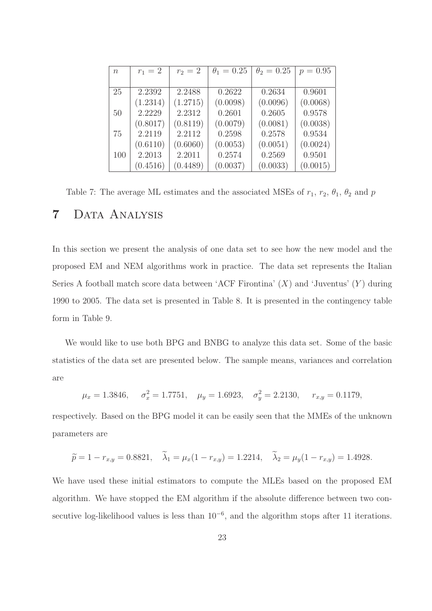| $\boldsymbol{n}$ | $r_1 = 2$ | $r_2 = 2$ | $\theta_1 = 0.25$ | $\theta_2 = 0.25$ | $p = 0.95$ |
|------------------|-----------|-----------|-------------------|-------------------|------------|
|                  |           |           |                   |                   |            |
| 25               | 2.2392    | 2.2488    | 0.2622            | 0.2634            | 0.9601     |
|                  | (1.2314)  | (1.2715)  | (0.0098)          | (0.0096)          | (0.0068)   |
| 50               | 2.2229    | 2.2312    | 0.2601            | 0.2605            | 0.9578     |
|                  | (0.8017)  | (0.8119)  | (0.0079)          | (0.0081)          | (0.0038)   |
| 75               | 2.2119    | 2.2112    | 0.2598            | 0.2578            | 0.9534     |
|                  | (0.6110)  | (0.6060)  | (0.0053)          | (0.0051)          | (0.0024)   |
| 100              | 2.2013    | 2.2011    | 0.2574            | 0.2569            | 0.9501     |
|                  | (0.4516)  | (0.4489)  | (0.0037)          | (0.0033)          | (0.0015)   |

Table 7: The average ML estimates and the associated MSEs of  $r_1$ ,  $r_2$ ,  $\theta_1$ ,  $\theta_2$  and p 7 Data Analysis

In this section we present the analysis of one data set to see how the new model and the proposed EM and NEM algorithms work in practice. The data set represents the Italian Series A football match score data between 'ACF Firontina'  $(X)$  and 'Juventus'  $(Y)$  during 1990 to 2005. The data set is presented in Table 8. It is presented in the contingency table form in Table 9.

We would like to use both BPG and BNBG to analyze this data set. Some of the basic statistics of the data set are presented below. The sample means, variances and correlation are

$$
\mu_x = 1.3846
$$
,  $\sigma_x^2 = 1.7751$ ,  $\mu_y = 1.6923$ ,  $\sigma_y^2 = 2.2130$ ,  $r_{x,y} = 0.1179$ ,

respectively. Based on the BPG model it can be easily seen that the MMEs of the unknown parameters are

$$
\widetilde{p} = 1 - r_{x,y} = 0.8821, \quad \widetilde{\lambda}_1 = \mu_x (1 - r_{x,y}) = 1.2214, \quad \widetilde{\lambda}_2 = \mu_y (1 - r_{x,y}) = 1.4928.
$$

We have used these initial estimators to compute the MLEs based on the proposed EM algorithm. We have stopped the EM algorithm if the absolute difference between two consecutive log-likelihood values is less than  $10^{-6}$ , and the algorithm stops after 11 iterations.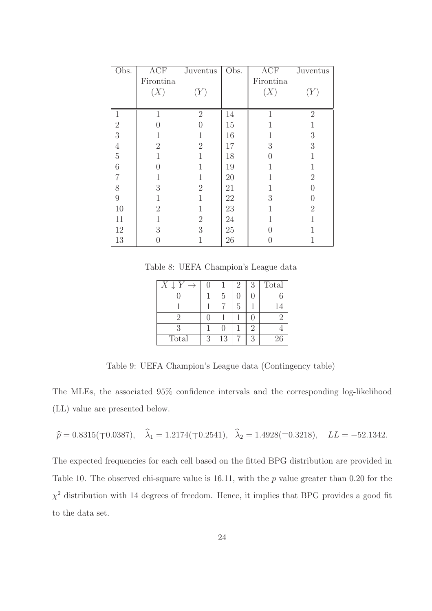| Obs.             | ACF            | Juventus       | Obs.   | ACF              | Juventus         |
|------------------|----------------|----------------|--------|------------------|------------------|
|                  | Firontina      |                |        | Firontina        |                  |
|                  | (X)            | (Y)            |        | (X)              | (Y)              |
|                  |                |                |        |                  |                  |
| $\mathbf{1}$     | $\mathbf{1}$   | $\overline{2}$ | 14     | $\mathbf{1}$     | $\overline{2}$   |
| $\overline{2}$   | $\Omega$       | ⋂              | 15     |                  |                  |
| 3                |                | 1              | 16     |                  | $\boldsymbol{3}$ |
| $\overline{4}$   | $\overline{2}$ | $\overline{2}$ | 17     | 3                | $\overline{3}$   |
| $\overline{5}$   | $\mathbf{1}$   | $\mathbf{1}$   | 18     | 0                | 1                |
| 6                | $\Omega$       | 1              | 19     | 1                | 1                |
| 7                | $\mathbf{1}$   | 1              | 20     | $\mathbf{1}$     | $\overline{2}$   |
| 8                | 3              | $\overline{2}$ | 21     | 1                | $\overline{0}$   |
| $\boldsymbol{9}$ | $\mathbf{1}$   | 1              | $22\,$ | $\boldsymbol{3}$ | $\overline{0}$   |
| 10               | $\overline{2}$ | 1              | 23     | 1                | $\overline{2}$   |
| 11               | 1              | $\sqrt{2}$     | 24     |                  |                  |
| 12               | 3              | 3              | 25     | 0                |                  |
| 13               | $\overline{0}$ | 1              | 26     | 0                | $\mathbf 1$      |

Table 8: UEFA Champion's League data

| $X_{\mathcal{E}}$<br>$\rightarrow$ | ( ) |                   | $\overline{2}$ | 3       | Total |
|------------------------------------|-----|-------------------|----------------|---------|-------|
|                                    |     | 5                 |                |         |       |
|                                    |     |                   | 5              |         |       |
| 9                                  |     |                   |                |         |       |
| 3                                  |     | $\mathbf{\Omega}$ |                | $\cdot$ |       |
| Total                              | 3   | 13                |                | З       | 26    |

Table 9: UEFA Champion's League data (Contingency table)

The MLEs, the associated 95% confidence intervals and the corresponding log-likelihood (LL) value are presented below.

$$
\hat{p} = 0.8315(\pm 0.0387), \quad \hat{\lambda}_1 = 1.2174(\pm 0.2541), \quad \hat{\lambda}_2 = 1.4928(\pm 0.3218), \quad LL = -52.1342.
$$

The expected frequencies for each cell based on the fitted BPG distribution are provided in Table 10. The observed chi-square value is 16.11, with the  $p$  value greater than 0.20 for the  $\chi^2$  distribution with 14 degrees of freedom. Hence, it implies that BPG provides a good fit to the data set.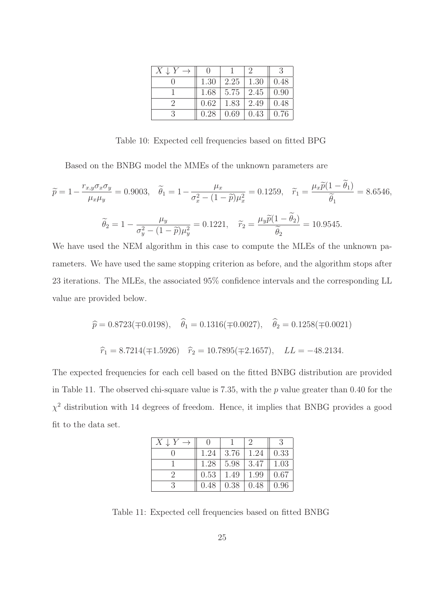| $X \downarrow Y$ |      |      | ٠,   |      |
|------------------|------|------|------|------|
|                  | 1.30 | 2.25 | 1.30 | 0.48 |
|                  | 1.68 | 5.75 | 2.45 | 0.90 |
|                  | 0.62 | 1.83 | 2.49 | 0.48 |
|                  | 0.28 | 0.69 | 0.43 | 0.76 |

Table 10: Expected cell frequencies based on fitted BPG

Based on the BNBG model the MMEs of the unknown parameters are

$$
\widetilde{p} = 1 - \frac{r_{x,y}\sigma_x\sigma_y}{\mu_x\mu_y} = 0.9003, \quad \widetilde{\theta}_1 = 1 - \frac{\mu_x}{\sigma_x^2 - (1 - \widetilde{p})\mu_x^2} = 0.1259, \quad \widetilde{r}_1 = \frac{\mu_x\widetilde{p}(1 - \widetilde{\theta}_1)}{\widetilde{\theta}_1} = 8.6546,
$$
\n
$$
\widetilde{\theta}_2 = 1 - \frac{\mu_y}{\sigma_y^2 - (1 - \widetilde{p})\mu_y^2} = 0.1221, \quad \widetilde{r}_2 = \frac{\mu_y\widetilde{p}(1 - \widetilde{\theta}_2)}{\widetilde{\theta}_2} = 10.9545.
$$

We have used the NEM algorithm in this case to compute the MLEs of the unknown parameters. We have used the same stopping criterion as before, and the algorithm stops after 23 iterations. The MLEs, the associated 95% confidence intervals and the corresponding LL value are provided below.

$$
\hat{p} = 0.8723(\pm 0.0198), \quad \hat{\theta}_1 = 0.1316(\pm 0.0027), \quad \hat{\theta}_2 = 0.1258(\pm 0.0021)
$$
  
 $\hat{r}_1 = 8.7214(\pm 1.5926) \quad \hat{r}_2 = 10.7895(\pm 2.1657), \quad LL = -48.2134.$ 

The expected frequencies for each cell based on the fitted BNBG distribution are provided in Table 11. The observed chi-square value is 7.35, with the p value greater than 0.40 for the  $\chi^2$  distribution with 14 degrees of freedom. Hence, it implies that BNBG provides a good fit to the data set.

| $X \downarrow Y$ |      |      | ۰,   |      |
|------------------|------|------|------|------|
|                  | 1.24 | 3.76 | 1.24 | 0.33 |
|                  | 1.28 | 5.98 | 3.47 | 1.03 |
|                  | 0.53 | 1.49 | 1.99 | 0.67 |
|                  | 0.48 | 0.38 | 0.48 | 0.96 |
|                  |      |      |      |      |

Table 11: Expected cell frequencies based on fitted BNBG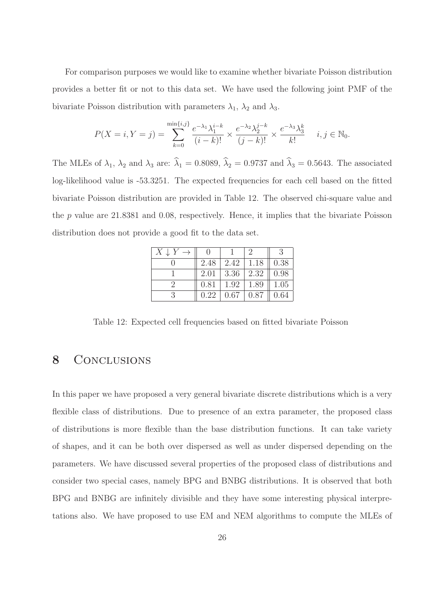For comparison purposes we would like to examine whether bivariate Poisson distribution provides a better fit or not to this data set. We have used the following joint PMF of the bivariate Poisson distribution with parameters  $\lambda_1$ ,  $\lambda_2$  and  $\lambda_3$ .

$$
P(X = i, Y = j) = \sum_{k=0}^{\min\{i,j\}} \frac{e^{-\lambda_1} \lambda_1^{i-k}}{(i-k)!} \times \frac{e^{-\lambda_2} \lambda_2^{j-k}}{(j-k)!} \times \frac{e^{-\lambda_3} \lambda_3^k}{k!} \quad i, j \in \mathbb{N}_0.
$$

The MLEs of  $\lambda_1$ ,  $\lambda_2$  and  $\lambda_3$  are:  $\hat{\lambda}_1 = 0.8089$ ,  $\hat{\lambda}_2 = 0.9737$  and  $\hat{\lambda}_3 = 0.5643$ . The associated log-likelihood value is -53.3251. The expected frequencies for each cell based on the fitted bivariate Poisson distribution are provided in Table 12. The observed chi-square value and the  $p$  value are 21.8381 and 0.08, respectively. Hence, it implies that the bivariate Poisson distribution does not provide a good fit to the data set.

| $X \downarrow Y$ |      |      |      |      |
|------------------|------|------|------|------|
|                  | 2.48 | 2.42 | 1.18 | 0.38 |
|                  | 2.01 | 3.36 | 2.32 | 0.98 |
|                  | 0.81 | 1.92 | 1.89 | 1.05 |
|                  | 0.22 | 0.67 | 0.87 | 0.64 |

Table 12: Expected cell frequencies based on fitted bivariate Poisson

## 8 CONCLUSIONS

In this paper we have proposed a very general bivariate discrete distributions which is a very flexible class of distributions. Due to presence of an extra parameter, the proposed class of distributions is more flexible than the base distribution functions. It can take variety of shapes, and it can be both over dispersed as well as under dispersed depending on the parameters. We have discussed several properties of the proposed class of distributions and consider two special cases, namely BPG and BNBG distributions. It is observed that both BPG and BNBG are infinitely divisible and they have some interesting physical interpretations also. We have proposed to use EM and NEM algorithms to compute the MLEs of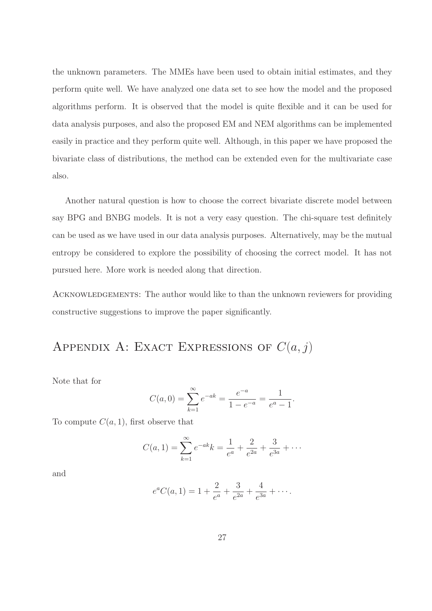the unknown parameters. The MMEs have been used to obtain initial estimates, and they perform quite well. We have analyzed one data set to see how the model and the proposed algorithms perform. It is observed that the model is quite flexible and it can be used for data analysis purposes, and also the proposed EM and NEM algorithms can be implemented easily in practice and they perform quite well. Although, in this paper we have proposed the bivariate class of distributions, the method can be extended even for the multivariate case also.

Another natural question is how to choose the correct bivariate discrete model between say BPG and BNBG models. It is not a very easy question. The chi-square test definitely can be used as we have used in our data analysis purposes. Alternatively, may be the mutual entropy be considered to explore the possibility of choosing the correct model. It has not pursued here. More work is needed along that direction.

ACKNOWLEDGEMENTS: The author would like to than the unknown reviewers for providing constructive suggestions to improve the paper significantly.

APPENDIX A: EXACT EXPRESSIONS OF  $C(a, j)$ 

Note that for

$$
C(a, 0) = \sum_{k=1}^{\infty} e^{-ak} = \frac{e^{-a}}{1 - e^{-a}} = \frac{1}{e^a - 1}.
$$

To compute  $C(a, 1)$ , first observe that

$$
C(a, 1) = \sum_{k=1}^{\infty} e^{-ak} k = \frac{1}{e^a} + \frac{2}{e^{2a}} + \frac{3}{e^{3a}} + \cdots
$$

and

$$
e^{a}C(a, 1) = 1 + \frac{2}{e^{a}} + \frac{3}{e^{2a}} + \frac{4}{e^{3a}} + \cdots
$$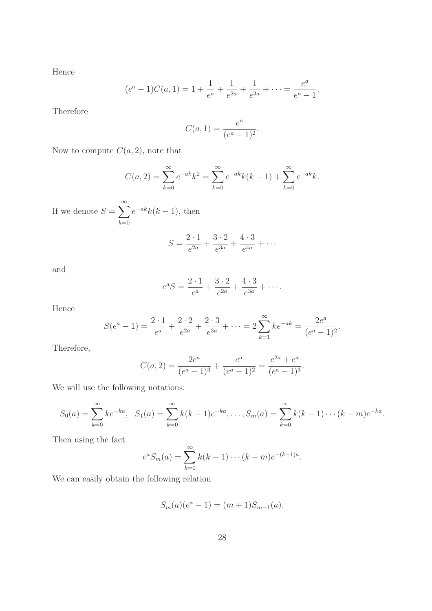Hence

$$
(e^a - 1)C(a, 1) = 1 + \frac{1}{e^a} + \frac{1}{e^{2a}} + \frac{1}{e^{3a}} + \dots = \frac{e^a}{e^a - 1}.
$$

Therefore

$$
C(a, 1) = \frac{e^a}{(e^a - 1)^2}.
$$

Now to compute  $C(a, 2)$ , note that

$$
C(a, 2) = \sum_{k=0}^{\infty} e^{-ak} k^2 = \sum_{k=0}^{\infty} e^{-ak} k(k-1) + \sum_{k=0}^{\infty} e^{-ak} k.
$$

If we denote  $S = \sum_{n=1}^{\infty}$  $_{k=0}$  $e^{-ak}k(k-1)$ , then

$$
S = \frac{2 \cdot 1}{e^{2a}} + \frac{3 \cdot 2}{e^{3a}} + \frac{4 \cdot 3}{e^{4a}} + \cdots
$$

and

$$
e^{a} S = \frac{2 \cdot 1}{e^{a}} + \frac{3 \cdot 2}{e^{2a}} + \frac{4 \cdot 3}{e^{3a}} + \cdots
$$

Hence

$$
S(e^{a}-1) = \frac{2 \cdot 1}{e^{a}} + \frac{2 \cdot 2}{e^{2a}} + \frac{2 \cdot 3}{e^{3a}} + \dots = 2 \sum_{k=1}^{\infty} k e^{-ak} = \frac{2e^{a}}{(e^{a}-1)^{2}}.
$$

Therefore,

$$
C(a, 2) = \frac{2e^a}{(e^a - 1)^3} + \frac{e^a}{(e^a - 1)^2} = \frac{e^{2a} + e^a}{(e^a - 1)^3}.
$$

We will use the following notations:

$$
S_0(a) = \sum_{k=0}^{\infty} ke^{-ka}, \quad S_1(a) = \sum_{k=0}^{\infty} k(k-1)e^{-ka}, \dots, S_m(a) = \sum_{k=0}^{\infty} k(k-1)\cdots(k-m)e^{-ka}.
$$

Then using the fact

$$
e^{a} S_{m}(a) = \sum_{k=0}^{\infty} k(k-1) \cdots (k-m) e^{-(k-1)a}.
$$

We can easily obtain the following relation

$$
S_m(a)(e^a - 1) = (m+1)S_{m-1}(a).
$$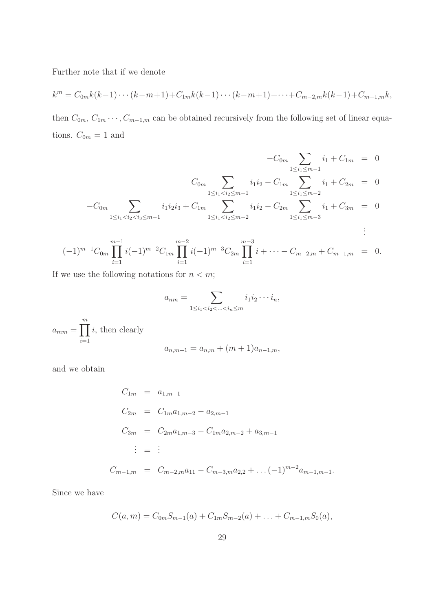Further note that if we denote

$$
k^{m} = C_{0m}k(k-1)\cdots(k-m+1) + C_{1m}k(k-1)\cdots(k-m+1) + \cdots + C_{m-2,m}k(k-1) + C_{m-1,m}k,
$$

then  $C_{0m}$ ,  $C_{1m} \cdots$ ,  $C_{m-1,m}$  can be obtained recursively from the following set of linear equations.  $C_{0m} = 1$  and

$$
-C_{0m} \sum_{1 \le i_1 \le m-1} i_1 + C_{1m} = 0
$$
  
\n
$$
C_{0m} \sum_{1 \le i_1 < i_2 \le m-1} i_1 i_2 - C_{1m} \sum_{1 \le i_1 \le m-2} i_1 + C_{2m} = 0
$$
  
\n
$$
-C_{0m} \sum_{1 \le i_1 < i_2 < i_3 \le m-1} i_1 i_2 i_3 + C_{1m} \sum_{1 \le i_1 < i_2 \le m-2} i_1 i_2 - C_{2m} \sum_{1 \le i_1 \le m-3} i_1 + C_{3m} = 0
$$
  
\n
$$
(-1)^{m-1} C_{0m} \prod_{i=1}^{m-1} i(-1)^{m-2} C_{1m} \prod_{i=1}^{m-2} i(-1)^{m-3} C_{2m} \prod_{i=1}^{m-3} i + \cdots - C_{m-2,m} + C_{m-1,m} = 0.
$$

If we use the following notations for  $n < m$ ;

$$
a_{nm} = \sum_{1 \leq i_1 < i_2 < \ldots < i_n \leq m} i_1 i_2 \cdots i_n,
$$

 $a_{mm} = \prod^m$  $i=1$ i, then clearly

$$
a_{n,m+1} = a_{n,m} + (m+1)a_{n-1,m},
$$

and we obtain

$$
C_{1m} = a_{1,m-1}
$$
  
\n
$$
C_{2m} = C_{1m}a_{1,m-2} - a_{2,m-1}
$$
  
\n
$$
C_{3m} = C_{2m}a_{1,m-3} - C_{1m}a_{2,m-2} + a_{3,m-1}
$$
  
\n
$$
\vdots = \vdots
$$
  
\n
$$
C_{m-1,m} = C_{m-2,m}a_{11} - C_{m-3,m}a_{2,2} + \dots (-1)^{m-2}a_{m-1,m-1}.
$$

Since we have

$$
C(a,m) = C_{0m}S_{m-1}(a) + C_{1m}S_{m-2}(a) + \ldots + C_{m-1,m}S_0(a),
$$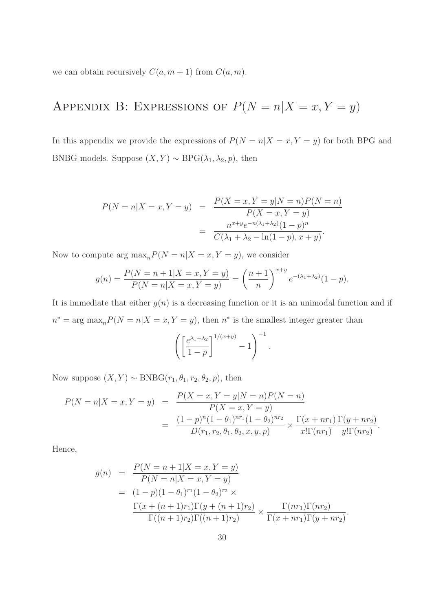we can obtain recursively  $C(a, m + 1)$  from  $C(a, m)$ .

# APPENDIX B: EXPRESSIONS OF  $P(N = n | X = x, Y = y)$

In this appendix we provide the expressions of  $P(N = n | X = x, Y = y)$  for both BPG and BNBG models. Suppose  $(X, Y) \sim \text{BPG}(\lambda_1, \lambda_2, p)$ , then

$$
P(N = n | X = x, Y = y) = \frac{P(X = x, Y = y | N = n)P(N = n)}{P(X = x, Y = y)} = \frac{n^{x+y}e^{-n(\lambda_1 + \lambda_2)}(1 - p)^n}{C(\lambda_1 + \lambda_2 - \ln(1 - p), x + y)}.
$$

Now to compute arg  $\max_{n} P(N = n | X = x, Y = y)$ , we consider

$$
g(n) = \frac{P(N = n + 1|X = x, Y = y)}{P(N = n|X = x, Y = y)} = \left(\frac{n+1}{n}\right)^{x+y} e^{-(\lambda_1 + \lambda_2)} (1 - p).
$$

It is immediate that either  $g(n)$  is a decreasing function or it is an unimodal function and if  $n^* = \arg \max_n P(N = n | X = x, Y = y)$ , then  $n^*$  is the smallest integer greater than

$$
\left(\left[\frac{e^{\lambda_1+\lambda_2}}{1-p}\right]^{1/(x+y)}-1\right)^{-1}.
$$

Now suppose  $(X, Y) \sim BNBG(r_1, \theta_1, r_2, \theta_2, p)$ , then

$$
P(N = n|X = x, Y = y) = \frac{P(X = x, Y = y|N = n)P(N = n)}{P(X = x, Y = y)}
$$
  
= 
$$
\frac{(1-p)^{n}(1-\theta_1)^{n r_1}(1-\theta_2)^{n r_2}}{D(r_1, r_2, \theta_1, \theta_2, x, y, p)} \times \frac{\Gamma(x + n r_1) \Gamma(y + n r_2)}{x! \Gamma(n r_1)} \frac{\Gamma(y + n r_2)}{y! \Gamma(n r_2)}.
$$

Hence,

$$
g(n) = \frac{P(N = n + 1|X = x, Y = y)}{P(N = n|X = x, Y = y)}
$$
  
=  $(1 - p)(1 - \theta_1)^{r_1}(1 - \theta_2)^{r_2} \times$   

$$
\frac{\Gamma(x + (n + 1)r_1)\Gamma(y + (n + 1)r_2)}{\Gamma((n + 1)r_2)\Gamma((n + 1)r_2)} \times \frac{\Gamma(nr_1)\Gamma(nr_2)}{\Gamma(x + nr_1)\Gamma(y + nr_2)}.
$$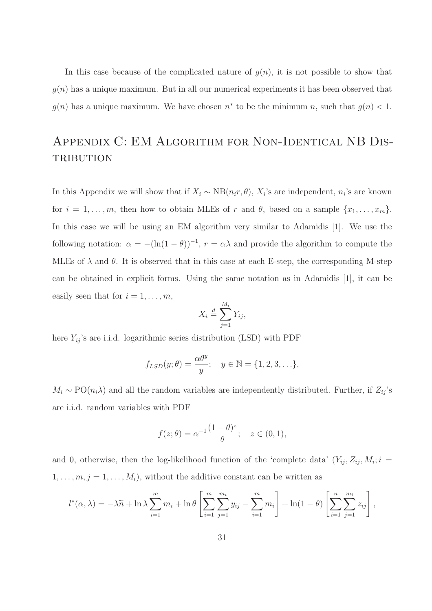In this case because of the complicated nature of  $g(n)$ , it is not possible to show that  $g(n)$  has a unique maximum. But in all our numerical experiments it has been observed that  $g(n)$  has a unique maximum. We have chosen  $n^*$  to be the minimum n, such that  $g(n) < 1$ .

## APPENDIX C: EM ALGORITHM FOR NON-IDENTICAL NB DIS-**TRIBUTION**

In this Appendix we will show that if  $X_i \sim NB(n_i r, \theta), X_i$ 's are independent,  $n_i$ 's are known for  $i = 1, \ldots, m$ , then how to obtain MLEs of r and  $\theta$ , based on a sample  $\{x_1, \ldots, x_m\}$ . In this case we will be using an EM algorithm very similar to Adamidis [1]. We use the following notation:  $\alpha = -(\ln(1-\theta))^{-1}$ ,  $r = \alpha\lambda$  and provide the algorithm to compute the MLEs of  $\lambda$  and  $\theta$ . It is observed that in this case at each E-step, the corresponding M-step can be obtained in explicit forms. Using the same notation as in Adamidis [1], it can be easily seen that for  $i = 1, \ldots, m$ ,

$$
X_i \stackrel{d}{=} \sum_{j=1}^{M_i} Y_{ij},
$$

here  $Y_{ij}$  's are i.i.d. logarithmic series distribution (LSD) with  ${\rm PDF}$ 

$$
f_{LSD}(y; \theta) = \frac{\alpha \theta^y}{y}; \quad y \in \mathbb{N} = \{1, 2, 3, \ldots\},\
$$

 $M_i \sim \text{PO}(n_i \lambda)$  and all the random variables are independently distributed. Further, if  $Z_{ij}$ 's are i.i.d. random variables with PDF

$$
f(z; \theta) = \alpha^{-1} \frac{(1 - \theta)^z}{\theta}; \quad z \in (0, 1),
$$

and 0, otherwise, then the log-likelihood function of the 'complete data'  $(Y_{ij}, Z_{ij}, M_i; i =$  $1, \ldots, m, j = 1, \ldots, M_i$ , without the additive constant can be written as

$$
l^*(\alpha, \lambda) = -\lambda \widetilde{n} + \ln \lambda \sum_{i=1}^m m_i + \ln \theta \left[ \sum_{i=1}^m \sum_{j=1}^{m_i} y_{ij} - \sum_{i=1}^m m_i \right] + \ln(1 - \theta) \left[ \sum_{i=1}^n \sum_{j=1}^{m_i} z_{ij} \right],
$$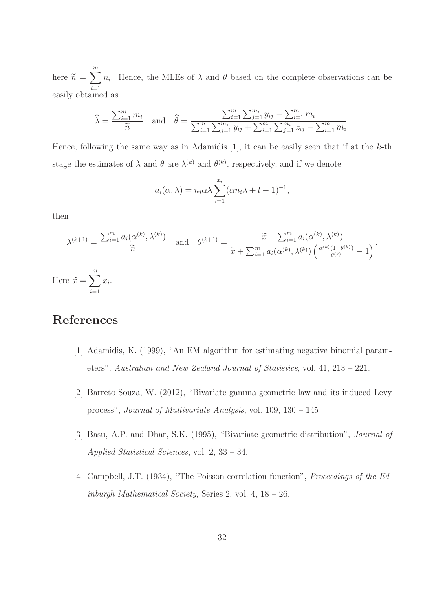here  $\widetilde{n} =$  $\sum_{i=1}^{m}$  $i=1$  $n_i$ . Hence, the MLEs of  $\lambda$  and  $\theta$  based on the complete observations can be easily obtained as

$$
\widehat{\lambda} = \frac{\sum_{i=1}^{m} m_i}{\widetilde{n}} \quad \text{and} \quad \widehat{\theta} = \frac{\sum_{i=1}^{m} \sum_{j=1}^{m_i} y_{ij} - \sum_{i=1}^{m} m_i}{\sum_{i=1}^{m} \sum_{j=1}^{m_i} y_{ij} + \sum_{i=1}^{m} \sum_{j=1}^{m_i} z_{ij} - \sum_{i=1}^{m} m_i}
$$

.

Hence, following the same way as in Adamidis [1], it can be easily seen that if at the  $k$ -th stage the estimates of  $\lambda$  and  $\theta$  are  $\lambda^{(k)}$  and  $\theta^{(k)}$ , respectively, and if we denote

$$
a_i(\alpha, \lambda) = n_i \alpha \lambda \sum_{l=1}^{x_i} (\alpha n_i \lambda + l - 1)^{-1},
$$

then

$$
\lambda^{(k+1)} = \frac{\sum_{i=1}^{m} a_i(\alpha^{(k)}, \lambda^{(k)})}{\widetilde{n}} \quad \text{and} \quad \theta^{(k+1)} = \frac{\widetilde{x} - \sum_{i=1}^{m} a_i(\alpha^{(k)}, \lambda^{(k)})}{\widetilde{x} + \sum_{i=1}^{m} a_i(\alpha^{(k)}, \lambda^{(k)}) \left(\frac{\alpha^{(k)}(1 - \theta^{(k)})}{\theta^{(k)}} - 1\right)}.
$$
  
ce  $\widetilde{x} = \sum_{i=1}^{m} x_i$ .

Her  $\sum_{i=1}$  $x_i$ .

## References

- [1] Adamidis, K. (1999), "An EM algorithm for estimating negative binomial parameters", Australian and New Zealand Journal of Statistics, vol. 41, 213 – 221.
- [2] Barreto-Souza, W. (2012), "Bivariate gamma-geometric law and its induced Levy process", Journal of Multivariate Analysis, vol. 109, 130 – 145
- [3] Basu, A.P. and Dhar, S.K. (1995), "Bivariate geometric distribution", Journal of Applied Statistical Sciences, vol. 2, 33 – 34.
- [4] Campbell, J.T. (1934), "The Poisson correlation function", Proceedings of the Edinburgh Mathematical Society, Series 2, vol. 4, 18 – 26.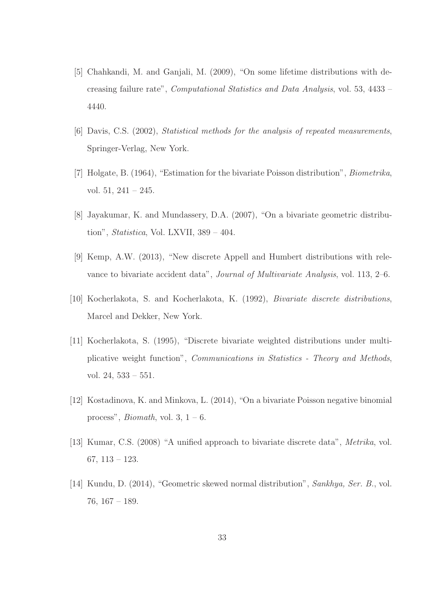- [5] Chahkandi, M. and Ganjali, M. (2009), "On some lifetime distributions with decreasing failure rate", Computational Statistics and Data Analysis, vol. 53, 4433 – 4440.
- [6] Davis, C.S. (2002), Statistical methods for the analysis of repeated measurements, Springer-Verlag, New York.
- [7] Holgate, B. (1964), "Estimation for the bivariate Poisson distribution", Biometrika, vol. 51, 241 – 245.
- [8] Jayakumar, K. and Mundassery, D.A. (2007), "On a bivariate geometric distribution", Statistica, Vol. LXVII, 389 – 404.
- [9] Kemp, A.W. (2013), "New discrete Appell and Humbert distributions with relevance to bivariate accident data", Journal of Multivariate Analysis, vol. 113, 2–6.
- [10] Kocherlakota, S. and Kocherlakota, K. (1992), Bivariate discrete distributions, Marcel and Dekker, New York.
- [11] Kocherlakota, S. (1995), "Discrete bivariate weighted distributions under multiplicative weight function", Communications in Statistics - Theory and Methods, vol. 24, 533 – 551.
- [12] Kostadinova, K. and Minkova, L. (2014), "On a bivariate Poisson negative binomial process", *Biomath*, vol. 3,  $1 - 6$ .
- [13] Kumar, C.S. (2008) "A unified approach to bivariate discrete data", Metrika, vol. 67, 113 – 123.
- [14] Kundu, D. (2014), "Geometric skewed normal distribution", Sankhya, Ser. B., vol. 76, 167 – 189.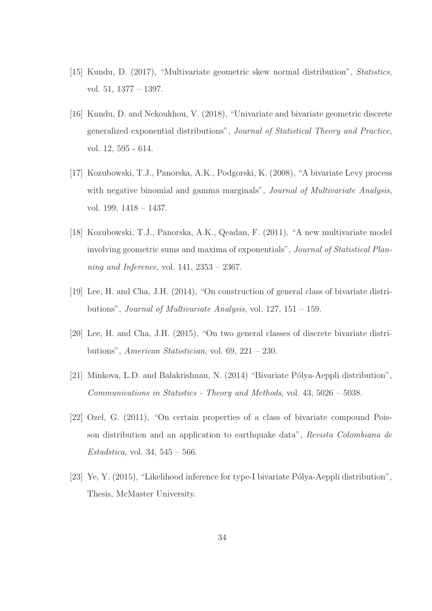- [15] Kundu, D. (2017), "Multivariate geometric skew normal distribution", Statistics, vol. 51, 1377 – 1397.
- [16] Kundu, D. and Nekoukhou, V. (2018), "Univariate and bivariate geometric discrete generalized exponential distributions", Journal of Statistical Theory and Practice, vol. 12, 595 - 614.
- [17] Kozubowski, T.J., Panorska, A.K., Podgorski, K. (2008), "A bivariate Levy process with negative binomial and gamma marginals", *Journal of Multivariate Analysis*, vol. 199, 1418 – 1437.
- [18] Kozubowski, T.J., Panorska, A.K., Qeadan, F. (2011), "A new multivariate model involving geometric sums and maxima of exponentials", Journal of Statistical Planning and Inference, vol.  $141, 2353 - 2367$ .
- [19] Lee, H. and Cha, J.H. (2014), "On construction of general class of bivariate distributions", Journal of Multivariate Analysis, vol. 127, 151 – 159.
- [20] Lee, H. and Cha, J.H. (2015), "On two general classes of discrete bivariate distributions", American Statistician, vol. 69, 221 – 230.
- [21] Minkova, L.D. and Balakrishnan, N. (2014) "Bivariate Pólya-Aeppli distribution", Communications in Statistics - Theory and Methods, vol. 43, 5026 – 5038.
- [22] Ozel, G. (2011), "On certain properties of a class of bivariate compound Poisson distribution and an application to earthquake data", Revista Colombiana de *Estadstica*, vol. 34,  $545 - 566$ .
- [23] Ye, Y. (2015), "Likelihood inference for type-I bivariate Pólya-Aeppli distribution", Thesis, McMaster University.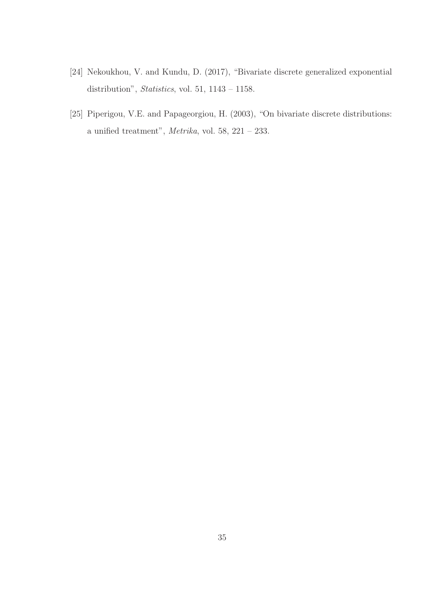- [24] Nekoukhou, V. and Kundu, D. (2017), "Bivariate discrete generalized exponential distribution", Statistics, vol. 51, 1143 – 1158.
- [25] Piperigou, V.E. and Papageorgiou, H. (2003), "On bivariate discrete distributions: a unified treatment",  $Metrika$ , vol. 58, 221 – 233.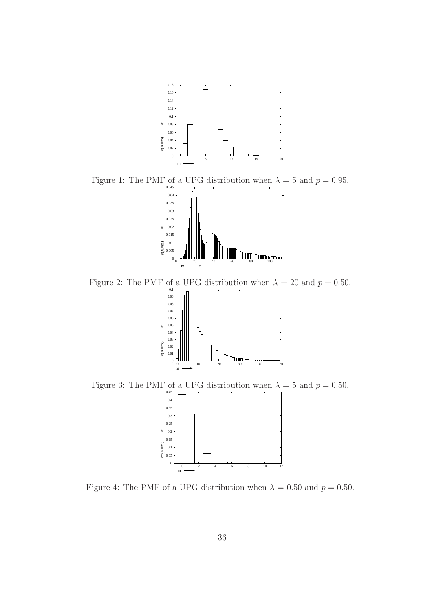

Figure 1: The PMF of a UPG distribution when  $\lambda = 5$  and  $p = 0.95$ .



Figure 2: The PMF of a UPG distribution when  $\lambda = 20$  and  $p = 0.50$ .



Figure 3: The PMF of a UPG distribution when  $\lambda = 5$  and  $p = 0.50$ .



Figure 4: The PMF of a UPG distribution when  $\lambda = 0.50$  and  $p = 0.50$ .